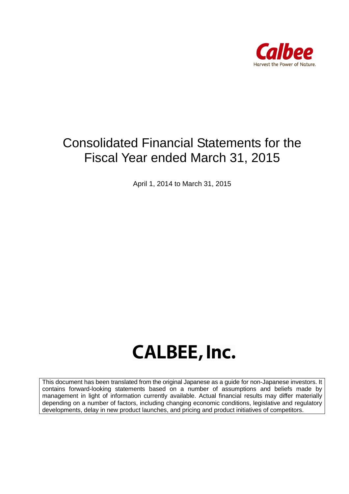

## Consolidated Financial Statements for the Fiscal Year ended March 31, 2015

April 1, 2014 to March 31, 2015

# **CALBEE, Inc.**

This document has been translated from the original Japanese as a guide for non-Japanese investors. It contains forward-looking statements based on a number of assumptions and beliefs made by management in light of information currently available. Actual financial results may differ materially depending on a number of factors, including changing economic conditions, legislative and regulatory developments, delay in new product launches, and pricing and product initiatives of competitors.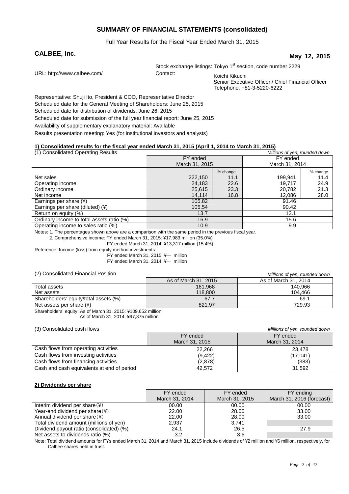#### **SUMMARY OF FINANCIAL STATEMENTS (consolidated)**

Full Year Results for the Fiscal Year Ended March 31, 2015

## **CALBEE, Inc. May 12, 2015**

| Stock exchange listings: Tokyo 1 <sup>st</sup> section, code number 2229 |  |
|--------------------------------------------------------------------------|--|
|                                                                          |  |

| URL: http://www.calbee.com/ | Contact: | Koichi Kikuchi                                     |
|-----------------------------|----------|----------------------------------------------------|
|                             |          | Senior Executive Officer / Chief Financial Officer |
|                             |          | Telephone: +81-3-5220-6222                         |

Representative: Shuji Ito, President & COO, Representative Director Scheduled date for the General Meeting of Shareholders: June 25, 2015 Scheduled date for distribution of dividends: June 26, 2015 Scheduled date for submission of the full year financial report: June 25, 2015 Availability of supplementary explanatory material: Available Results presentation meeting: Yes (for institutional investors and analysts)

#### **1) Consolidated results for the fiscal year ended March 31, 2015 (April 1, 2014 to March 31, 2015)**

| (1) Consolidated Operating Results        |                |          | Millions of yen, rounded down |          |
|-------------------------------------------|----------------|----------|-------------------------------|----------|
|                                           | FY ended       |          | FY ended                      |          |
|                                           | March 31, 2015 |          | March 31, 2014                |          |
|                                           |                | % change |                               | % change |
| Net sales                                 | 222,150        | 11.1     | 199.941                       | 11.4     |
| Operating income                          | 24,183         | 22.6     | 19.717                        | 24.9     |
| Ordinary income                           | 25,615         | 23.3     | 20,782                        | 21.3     |
| Net income                                | 14,114         | 16.8     | 12,086                        | 28.0     |
| Earnings per share $(*)$                  | 105.82         |          | 91.46                         |          |
| Earnings per share (diluted) (¥)          | 105.54         |          | 90.42                         |          |
| Return on equity (%)                      | 13.7           |          | 13.1                          |          |
| Ordinary income to total assets ratio (%) | 16.9           |          | 15.6                          |          |
| Operating income to sales ratio (%)       | 10.9           |          | 9.9                           |          |

Notes: 1. The percentages shown above are a comparison with the same period in the previous fiscal year.

2. Comprehensive income: FY ended March 31, 2015: ¥17,983 million (35.0%)

FY ended March 31, 2014: ¥13,317 million (15.4%)

Reference: Income (loss) from equity method investments:

 $FY$  ended March 31, 2015: ¥- million

FY ended March 31, 2014:  $4 -$  million

(2) Consolidated Financial Position Millions of yen, rounded down

|                                       | <u>MINUS OF VEH. TUUHUGU UUWH</u> |                      |  |  |
|---------------------------------------|-----------------------------------|----------------------|--|--|
|                                       | As of March 31, 2015              | As of March 31, 2014 |  |  |
| Total assets                          | 161.968                           | 140.966              |  |  |
| Net assets                            | 118,800                           | 104.466              |  |  |
| Shareholders' equity/total assets (%) | 67.7                              | 69.1                 |  |  |
| Net assets per share $(*)$            | 821.97                            | 729.93               |  |  |

Shareholders' equity: As of March 31, 2015: ¥109,652 million As of March 31, 2014: ¥97,375 million

(3) Consolidated cash flows  $\frac{1}{2}$ 

| <u>MINIOHS OF YELL TOUHUED QUWIT</u> |                |  |  |
|--------------------------------------|----------------|--|--|
| FY ended                             | FY ended       |  |  |
| March 31, 2015                       | March 31, 2014 |  |  |
| 22,266                               | 23,478         |  |  |
| (9, 422)                             | (17,041)       |  |  |
| (2,878)                              | (383)          |  |  |
| 42.572                               | 31,592         |  |  |
|                                      |                |  |  |

#### **2) Dividends per share**

|                                           | FY ended       | FY ended       | FY ending                 |
|-------------------------------------------|----------------|----------------|---------------------------|
|                                           | March 31, 2014 | March 31, 2015 | March 31, 2016 (forecast) |
| Interim dividend per share $(*)$          | 00.00          | 00.00          | 00.00                     |
| Year-end dividend per share (¥)           | 22.00          | 28.00          | 33.00                     |
| Annual dividend per share $(\frac{4}{3})$ | 22.00          | 28.00          | 33.00                     |
| Total dividend amount (millions of yen)   | 2.937          | 3,741          |                           |
| Dividend payout ratio (consolidated) (%)  | 24.1           | 26.5           | 27.9                      |
| Net assets to dividends ratio (%)         | 3.2            | 3.6            |                           |

Note: Total dividend amounts for FYs ended March 31, 2014 and March 31, 2015 include dividends of ¥2 million and ¥6 million, respectively, for Calbee shares held in trust.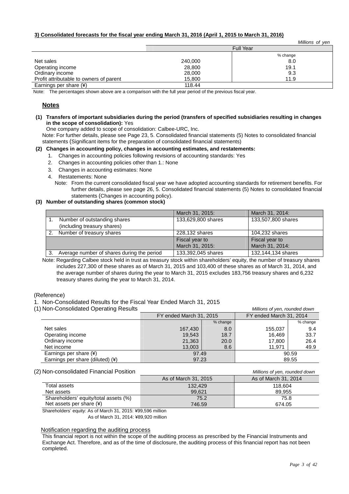#### **3) Consolidated forecasts for the fiscal year ending March 31, 2016 (April 1, 2015 to March 31, 2016)**

|                                         |         | Millions of yen  |
|-----------------------------------------|---------|------------------|
|                                         |         | <b>Full Year</b> |
|                                         |         | % change         |
| Net sales                               | 240,000 | 8.0              |
| Operating income                        | 28,800  | 19.1             |
| Ordinary income                         | 28,000  | 9.3              |
| Profit attributable to owners of parent | 15.800  | 11.9             |
| Earnings per share (¥)                  | 118.44  |                  |

Note: The percentages shown above are a comparison with the full year period of the previous fiscal year.

#### **Notes**

#### **(1) Transfers of important subsidiaries during the period (transfers of specified subsidiaries resulting in changes in the scope of consolidation):** Yes

One company added to scope of consolidation: Calbee-URC, Inc.

Note: For further details, please see Page 23, 5. Consolidated financial statements (5) Notes to consolidated financial statements (Significant items for the preparation of consolidated financial statements)

#### **(2) Changes in accounting policy, changes in accounting estimates, and restatements:**

- 1. Changes in accounting policies following revisions of accounting standards: Yes
- 2. Changes in accounting policies other than 1.: None
- 3. Changes in accounting estimates: None
- 4. Restatements: None
	- Note: From the current consolidated fiscal year we have adopted accounting standards for retirement benefits. For further details, please see page 26, 5. Consolidated financial statements (5) Notes to consolidated financial statements (Changes in accounting policy).

#### **(3) Number of outstanding shares (common stock)**

|                                            | March 31, 2015:    | March 31, 2014:    |
|--------------------------------------------|--------------------|--------------------|
| Number of outstanding shares               | 133,629,800 shares | 133,507,800 shares |
| (including treasury shares)                |                    |                    |
| Number of treasury shares                  | 228,132 shares     | 104,232 shares     |
|                                            | Fiscal year to     | Fiscal year to     |
|                                            | March 31, 2015:    | March 31, 2014:    |
| Average number of shares during the period | 133,392,045 shares | 132,144,134 shares |

Note: Regarding Calbee stock held in trust as treasury stock within shareholders' equity, the number of treasury shares includes 227,300 of these shares as of March 31, 2015 and 103,400 of these shares as of March 31, 2014, and the average number of shares during the year to March 31, 2015 excludes 183,756 treasury shares and 6,232 treasury shares during the year to March 31, 2014.

#### (Reference)

- 1. Non-Consolidated Results for the Fiscal Year Ended March 31, 2015
- 

| (1) Non-Consolidated Operating Results |                         |          | Millions of yen, rounded down |          |
|----------------------------------------|-------------------------|----------|-------------------------------|----------|
|                                        | FY ended March 31, 2015 |          | FY ended March 31, 2014       |          |
|                                        |                         | % change |                               | % change |
| Net sales                              | 167.430                 | 8.0      | 155.037                       | 9.4      |
| Operating income                       | 19.543                  | 18.7     | 16.469                        | 33.7     |
| Ordinary income                        | 21,363                  | 20.0     | 17,800                        | 26.4     |
| Net income                             | 13,003                  | 8.6      | 11.971                        | 49.9     |
| Earnings per share (¥)                 | 97.49                   |          |                               | 90.59    |
| Earnings per share (diluted) (¥)       | 97.23                   |          |                               | 89.55    |

#### (2) Non-consolidated Financial Position Millions of yen, rounded down

|                                       | As of March 31, 2015 | As of March 31, 2014 |
|---------------------------------------|----------------------|----------------------|
| Total assets                          | 132.429              | 118.604              |
| Net assets                            | 99.621               | 89.955               |
| Shareholders' equity/total assets (%) | 75.2                 | 75.8                 |
| Net assets per share $(*)$            | 746.59               | 674.05               |

Shareholders' equity: As of March 31, 2015: ¥99,596 million

As of March 31, 2014: ¥89,920 million

#### Notification regarding the auditing process

This financial report is not within the scope of the auditing process as prescribed by the Financial Instruments and Exchange Act. Therefore, and as of the time of disclosure, the auditing process of this financial report has not been completed.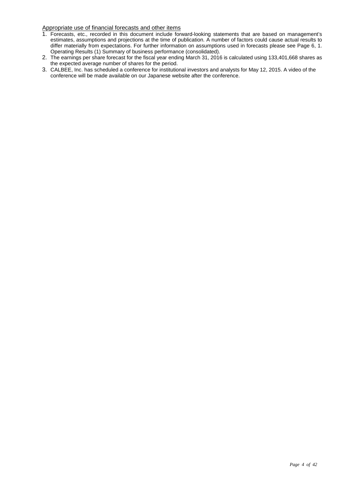Appropriate use of financial forecasts and other items

- 1. Forecasts, etc., recorded in this document include forward-looking statements that are based on management's estimates, assumptions and projections at the time of publication. A number of factors could cause actual results to differ materially from expectations. For further information on assumptions used in forecasts please see Page 6, 1. Operating Results (1) Summary of business performance (consolidated).
- 2. The earnings per share forecast for the fiscal year ending March 31, 2016 is calculated using 133,401,668 shares as the expected average number of shares for the period.
- 3. CALBEE, Inc. has scheduled a conference for institutional investors and analysts for May 12, 2015. A video of the conference will be made available on our Japanese website after the conference.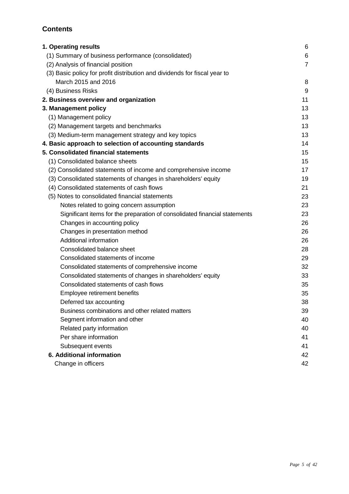## **Contents**

| 1. Operating results                                                       | 6              |
|----------------------------------------------------------------------------|----------------|
| (1) Summary of business performance (consolidated)                         | 6              |
| (2) Analysis of financial position                                         | $\overline{7}$ |
| (3) Basic policy for profit distribution and dividends for fiscal year to  |                |
| March 2015 and 2016                                                        | 8              |
| (4) Business Risks                                                         | 9              |
| 2. Business overview and organization                                      | 11             |
| 3. Management policy                                                       | 13             |
| (1) Management policy                                                      | 13             |
| (2) Management targets and benchmarks                                      | 13             |
| (3) Medium-term management strategy and key topics                         | 13             |
| 4. Basic approach to selection of accounting standards                     | 14             |
| 5. Consolidated financial statements                                       | 15             |
| (1) Consolidated balance sheets                                            | 15             |
| (2) Consolidated statements of income and comprehensive income             | 17             |
| (3) Consolidated statements of changes in shareholders' equity             | 19             |
| (4) Consolidated statements of cash flows                                  | 21             |
| (5) Notes to consolidated financial statements                             | 23             |
| Notes related to going concern assumption                                  | 23             |
| Significant items for the preparation of consolidated financial statements | 23             |
| Changes in accounting policy                                               | 26             |
| Changes in presentation method                                             | 26             |
| Additional information                                                     | 26             |
| Consolidated balance sheet                                                 | 28             |
| Consolidated statements of income                                          | 29             |
| Consolidated statements of comprehensive income                            | 32             |
| Consolidated statements of changes in shareholders' equity                 | 33             |
| Consolidated statements of cash flows                                      | 35             |
| Employee retirement benefits                                               | 35             |
| Deferred tax accounting                                                    | 38             |
| Business combinations and other related matters                            | 39             |
| Segment information and other                                              | 40             |
| Related party information                                                  | 40             |
| Per share information                                                      | 41             |
| Subsequent events                                                          | 41             |
| <b>6. Additional information</b>                                           | 42             |
| Change in officers                                                         | 42             |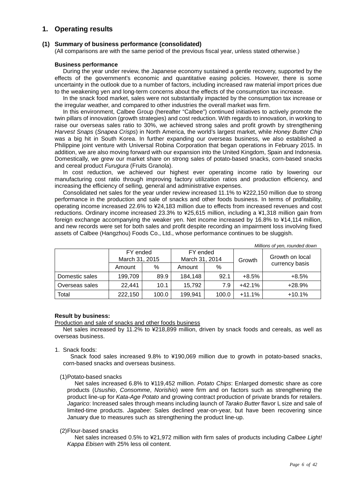## **1. Operating results**

#### **(1) Summary of business performance (consolidated)**

(All comparisons are with the same period of the previous fiscal year, unless stated otherwise.)

#### **Business performance**

During the year under review, the Japanese economy sustained a gentle recovery, supported by the effects of the government's economic and quantitative easing policies. However, there is some uncertainty in the outlook due to a number of factors, including increased raw material import prices due to the weakening yen and long-term concerns about the effects of the consumption tax increase.

In the snack food market, sales were not substantially impacted by the consumption tax increase or the irregular weather, and compared to other industries the overall market was firm.

In this environment, Calbee Group (hereafter "Calbee") continued initiatives to actively promote the twin pillars of innovation (growth strategies) and cost reduction. With regards to innovation, in working to raise our overseas sales ratio to 30%, we achieved strong sales and profit growth by strengthening Harvest Snaps (Snapea Crisps) in North America, the world's largest market, while Honey Butter Chip was a big hit in South Korea. In further expanding our overseas business, we also established a Philippine joint venture with Universal Robina Corporation that began operations in February 2015. In addition, we are also moving forward with our expansion into the United Kingdom, Spain and Indonesia. Domestically, we grew our market share on strong sales of potato-based snacks, corn-based snacks and cereal product Furugura (Fruits Granola).

In cost reduction, we achieved our highest ever operating income ratio by lowering our manufacturing cost ratio through improving factory utilization ratios and production efficiency, and increasing the efficiency of selling, general and administrative expenses.

Consolidated net sales for the year under review increased 11.1% to ¥222,150 million due to strong performance in the production and sale of snacks and other foods business. In terms of profitability, operating income increased 22.6% to ¥24,183 million due to effects from increased revenues and cost reductions. Ordinary income increased 23.3% to ¥25,615 million, including a ¥1,318 million gain from foreign exchange accompanying the weaker yen. Net income increased by 16.8% to ¥14,114 million, and new records were set for both sales and profit despite recording an impairment loss involving fixed assets of Calbee (Hangzhou) Foods Co., Ltd., whose performance continues to be sluggish.

|                |                            |       |                            |       |                           | Millions of yen, rounded down |
|----------------|----------------------------|-------|----------------------------|-------|---------------------------|-------------------------------|
|                | FY ended<br>March 31, 2015 |       | FY ended<br>March 31, 2014 |       | Growth on local<br>Growth |                               |
|                | Amount                     | $\%$  | Amount                     | %     |                           | currency basis                |
| Domestic sales | 199,709                    | 89.9  | 184,148                    | 92.1  | $+8.5%$                   | $+8.5%$                       |
| Overseas sales | 22,441                     | 10.1  | 15,792                     | 7.9   | $+42.1%$                  | $+28.9%$                      |
| Total          | 222,150                    | 100.0 | 199,941                    | 100.0 | $+11.1%$                  | $+10.1%$                      |

#### **Result by business:**

Production and sale of snacks and other foods business

Net sales increased by 11.2% to ¥218,899 million, driven by snack foods and cereals, as well as overseas business.

1. Snack foods:

Snack food sales increased 9.8% to ¥190,069 million due to growth in potato-based snacks, corn-based snacks and overseas business.

#### (1) Potato-based snacks

Net sales increased 6.8% to ¥119.452 million. Potato Chips: Enlarged domestic share as core products (Usushio, Consomme, Norishio) were firm and on factors such as strengthening the product line-up for Kata-Age Potato and growing contract production of private brands for retailers. Jagarico: Increased sales through means including launch of Tarako Butter flavor L size and sale of limited-time products. Jagabee: Sales declined year-on-year, but have been recovering since January due to measures such as strengthening the product line-up.

(2) Flour-based snacks

Net sales increased 0.5% to ¥21,972 million with firm sales of products including Calbee Light! Kappa Ebisen with 25% less oil content.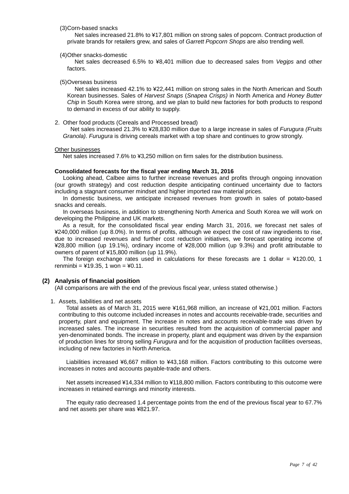#### (3) Corn-based snacks

Net sales increased 21.8% to ¥17,801 million on strong sales of popcorn. Contract production of private brands for retailers grew, and sales of Garrett Popcorn Shops are also trending well.

#### (4) Other snacks-domestic

Net sales decreased 6.5% to ¥8,401 million due to decreased sales from Vegips and other factors.

#### (5) Overseas business

Net sales increased 42.1% to ¥22,441 million on strong sales in the North American and South Korean businesses. Sales of Harvest Snaps (Snapea Crisps) in North America and Honey Butter Chip in South Korea were strong, and we plan to build new factories for both products to respond to demand in excess of our ability to supply.

2. Other food products (Cereals and Processed bread)

Net sales increased 21.3% to ¥28,830 million due to a large increase in sales of *Furugura (Fruits* Granola). Furugura is driving cereals market with a top share and continues to grow strongly.

#### Other businesses

Net sales increased 7.6% to ¥3,250 million on firm sales for the distribution business.

#### **Consolidated forecasts for the fiscal year ending March 31, 2016**

Looking ahead, Calbee aims to further increase revenues and profits through ongoing innovation (our growth strategy) and cost reduction despite anticipating continued uncertainty due to factors including a stagnant consumer mindset and higher imported raw material prices.

In domestic business, we anticipate increased revenues from growth in sales of potato-based snacks and cereals.

In overseas business, in addition to strengthening North America and South Korea we will work on developing the Philippine and UK markets.

As a result, for the consolidated fiscal year ending March 31, 2016, we forecast net sales of ¥240,000 million (up 8.0%). In terms of profits, although we expect the cost of raw ingredients to rise, due to increased revenues and further cost reduction initiatives, we forecast operating income of ¥28,800 million (up 19.1%), ordinary income of ¥28,000 million (up 9.3%) and profit attributable to owners of parent of ¥15,800 million (up 11.9%).

The foreign exchange rates used in calculations for these forecasts are 1 dollar =  $4120.00$ , 1 renminbi =  $\angle 19.35$ , 1 won =  $\angle 40.11$ .

#### **(2) Analysis of financial position**

(All comparisons are with the end of the previous fiscal year, unless stated otherwise.)

#### 1. Assets, liabilities and net assets

Total assets as of March 31, 2015 were ¥161,968 million, an increase of ¥21,001 million. Factors contributing to this outcome included increases in notes and accounts receivable-trade, securities and property, plant and equipment. The increase in notes and accounts receivable-trade was driven by increased sales. The increase in securities resulted from the acquisition of commercial paper and yen-denominated bonds. The increase in property, plant and equipment was driven by the expansion of production lines for strong selling Furugura and for the acquisition of production facilities overseas, including of new factories in North America.

Liabilities increased ¥6,667 million to ¥43,168 million. Factors contributing to this outcome were increases in notes and accounts payable-trade and others.

Net assets increased ¥14,334 million to ¥118,800 million. Factors contributing to this outcome were increases in retained earnings and minority interests.

The equity ratio decreased 1.4 percentage points from the end of the previous fiscal year to 67.7% and net assets per share was ¥821.97.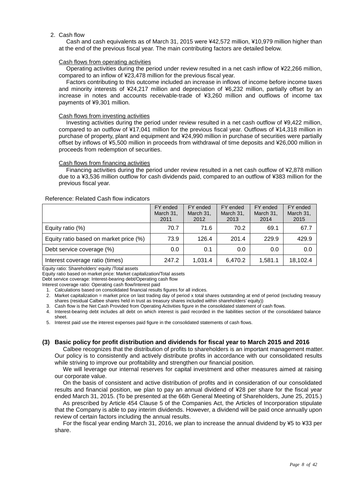#### 2. Cash flow

Cash and cash equivalents as of March 31, 2015 were ¥42,572 million, ¥10,979 million higher than at the end of the previous fiscal year. The main contributing factors are detailed below.

#### Cash flows from operating activities

Operating activities during the period under review resulted in a net cash inflow of ¥22,266 million, compared to an inflow of ¥23,478 million for the previous fiscal year.

Factors contributing to this outcome included an increase in inflows of income before income taxes and minority interests of ¥24,217 million and depreciation of ¥6,232 million, partially offset by an increase in notes and accounts receivable-trade of ¥3,260 million and outflows of income tax payments of ¥9,301 million.

#### Cash flows from investing activities

Investing activities during the period under review resulted in a net cash outflow of ¥9,422 million, compared to an outflow of ¥17,041 million for the previous fiscal year. Outflows of ¥14,318 million in purchase of property, plant and equipment and ¥24,990 million in purchase of securities were partially offset by inflows of ¥5,500 million in proceeds from withdrawal of time deposits and ¥26,000 million in proceeds from redemption of securities.

#### Cash flows from financing activities

Financing activities during the period under review resulted in a net cash outflow of ¥2,878 million due to a ¥3,536 million outflow for cash dividends paid, compared to an outflow of ¥383 million for the previous fiscal year.

#### Reference: Related Cash flow indicators

|                                        | FY ended<br>March 31,<br>2011 | FY ended<br>March 31,<br>2012 | FY ended<br>March 31,<br>2013 | FY ended<br>March 31,<br>2014 | FY ended<br>March 31,<br>2015 |
|----------------------------------------|-------------------------------|-------------------------------|-------------------------------|-------------------------------|-------------------------------|
| Equity ratio (%)                       | 70.7                          | 71.6                          | 70.2                          | 69.1                          | 67.7                          |
| Equity ratio based on market price (%) | 73.9                          | 126.4                         | 201.4                         | 229.9                         | 429.9                         |
| Debt service coverage (%)              | 0.0                           | 0.1                           | 0.0                           | 0.0                           | 0.0                           |
| Interest coverage ratio (times)        | 247.2                         | 1,031.4                       | 6,470.2                       | 1,581.1                       | 18,102.4                      |

Equity ratio: Shareholders' equity /Total assets

Equity ratio based on market price: Market capitalization/Total assets

Debt service coverage: Interest-bearing debt/Operating cash flow

Interest coverage ratio: Operating cash flow/Interest paid

1. Calculations based on consolidated financial results figures for all indices.

2. Market capitalization = market price on last trading day of period x total shares outstanding at end of period (excluding treasury shares (residual Calbee shares held in trust as treasury shares included within shareholders' equity))

Cash flow is the Net Cash Provided from Operating Activities figure in the consolidated statement of cash flows.

4. Interest-bearing debt includes all debt on which interest is paid recorded in the liabilities section of the consolidated balance sheet.

5. Interest paid use the interest expenses paid figure in the consolidated statements of cash flows.

#### **(3) Basic policy for profit distribution and dividends for fiscal year to March 2015 and 2016**

Calbee recognizes that the distribution of profits to shareholders is an important management matter. Our policy is to consistently and actively distribute profits in accordance with our consolidated results while striving to improve our profitability and strengthen our financial position.

We will leverage our internal reserves for capital investment and other measures aimed at raising our corporate value.

On the basis of consistent and active distribution of profits and in consideration of our consolidated results and financial position, we plan to pay an annual dividend of ¥28 per share for the fiscal year ended March 31, 2015. (To be presented at the 66th General Meeting of Shareholders, June 25, 2015.)

As prescribed by Article 454 Clause 5 of the Companies Act, the Articles of Incorporation stipulate that the Company is able to pay interim dividends. However, a dividend will be paid once annually upon review of certain factors including the annual results.

For the fiscal year ending March 31, 2016, we plan to increase the annual dividend by ¥5 to ¥33 per share.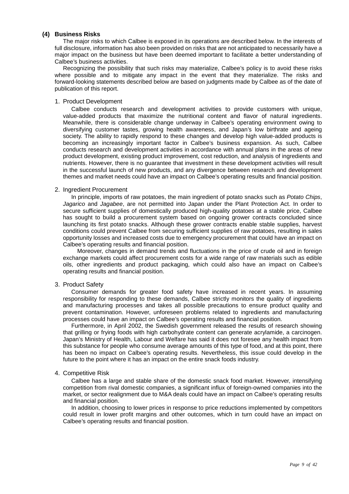#### **(4) Business Risks**

The major risks to which Calbee is exposed in its operations are described below. In the interests of full disclosure, information has also been provided on risks that are not anticipated to necessarily have a major impact on the business but have been deemed important to facilitate a better understanding of Calbee's business activities.

Recognizing the possibility that such risks may materialize, Calbee's policy is to avoid these risks where possible and to mitigate any impact in the event that they materialize. The risks and forward-looking statements described below are based on judgments made by Calbee as of the date of publication of this report.

#### 1. Product Development

Calbee conducts research and development activities to provide customers with unique, value-added products that maximize the nutritional content and flavor of natural ingredients. Meanwhile, there is considerable change underway in Calbee's operating environment owing to diversifying customer tastes, growing health awareness, and Japan's low birthrate and ageing society. The ability to rapidly respond to these changes and develop high value-added products is becoming an increasingly important factor in Calbee's business expansion. As such, Calbee conducts research and development activities in accordance with annual plans in the areas of new product development, existing product improvement, cost reduction, and analysis of ingredients and nutrients. However, there is no guarantee that investment in these development activities will result in the successful launch of new products, and any divergence between research and development themes and market needs could have an impact on Calbee's operating results and financial position.

#### 2. Ingredient Procurement

In principle, imports of raw potatoes, the main ingredient of potato snacks such as Potato Chips, Jagarico and Jagabee, are not permitted into Japan under the Plant Protection Act. In order to secure sufficient supplies of domestically produced high-quality potatoes at a stable price, Calbee has sought to build a procurement system based on ongoing grower contracts concluded since launching its first potato snacks. Although these grower contracts enable stable supplies, harvest conditions could prevent Calbee from securing sufficient supplies of raw potatoes, resulting in sales opportunity losses and increased costs due to emergency procurement that could have an impact on Calbee's operating results and financial position.

 Moreover, changes in demand trends and fluctuations in the price of crude oil and in foreign exchange markets could affect procurement costs for a wide range of raw materials such as edible oils, other ingredients and product packaging, which could also have an impact on Calbee's operating results and financial position.

#### 3. Product Safety

Consumer demands for greater food safety have increased in recent years. In assuming responsibility for responding to these demands, Calbee strictly monitors the quality of ingredients and manufacturing processes and takes all possible precautions to ensure product quality and prevent contamination. However, unforeseen problems related to ingredients and manufacturing processes could have an impact on Calbee's operating results and financial position.

Furthermore, in April 2002, the Swedish government released the results of research showing that grilling or frying foods with high carbohydrate content can generate acrylamide, a carcinogen. Japan's Ministry of Health, Labour and Welfare has said it does not foresee any health impact from this substance for people who consume average amounts of this type of food, and at this point, there has been no impact on Calbee's operating results. Nevertheless, this issue could develop in the future to the point where it has an impact on the entire snack foods industry.

#### 4. Competitive Risk

Calbee has a large and stable share of the domestic snack food market. However, intensifying competition from rival domestic companies, a significant influx of foreign-owned companies into the market, or sector realignment due to M&A deals could have an impact on Calbee's operating results and financial position.

In addition, choosing to lower prices in response to price reductions implemented by competitors could result in lower profit margins and other outcomes, which in turn could have an impact on Calbee's operating results and financial position.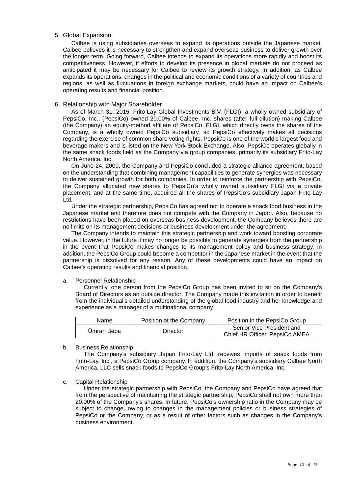#### 5. Global Expansion

Calbee is using subsidiaries overseas to expand its operations outside the Japanese market. Calbee believes it is necessary to strengthen and expand overseas business to deliver growth over the longer term. Going forward, Calbee intends to expand its operations more rapidly and boost its competitiveness. However, if efforts to develop its presence in global markets do not proceed as anticipated it may be necessary for Calbee to review its growth strategy. In addition, as Calbee expands its operations, changes in the political and economic conditions of a variety of countries and regions, as well as fluctuations in foreign exchange markets, could have an impact on Calbee's operating results and financial position.

#### 6. Relationship with Major Shareholder

As of March 31, 2015, Frito-Lay Global Investments B.V. (FLGI), a wholly owned subsidiary of PepsiCo, Inc., (PepsiCo) owned 20.00% of Calbee, Inc. shares (after full dilution) making Calbee (the Company) an equity-method affiliate of PepsiCo. FLGI, which directly owns the shares of the Company, is a wholly owned PepsiCo subsidiary, so PepsiCo effectively makes all decisions regarding the exercise of common share voting rights. PepsiCo is one of the world's largest food and beverage makers and is listed on the New York Stock Exchange. Also, PepsiCo operates globally in the same snack foods field as the Company via group companies, primarily its subsidiary Frito-Lay North America, Inc.

On June 24, 2009, the Company and PepsiCo concluded a strategic alliance agreement, based on the understanding that combining management capabilities to generate synergies was necessary to deliver sustained growth for both companies. In order to reinforce the partnership with PepsiCo, the Company allocated new shares to PepsiCo's wholly owned subsidiary FLGI via a private placement, and at the same time, acquired all the shares of PepsiCo's subsidiary Japan Frito-Lay Ltd.

Under the strategic partnership, PepsiCo has agreed not to operate a snack food business in the Japanese market and therefore does not compete with the Company in Japan. Also, because no restrictions have been placed on overseas business development, the Company believes there are no limits on its management decisions or business development under the agreement.

The Company intends to maintain this strategic partnership and work toward boosting corporate value. However, in the future it may no longer be possible to generate synergies from the partnership in the event that PepsiCo makes changes to its management policy and business strategy. In addition, the PepsiCo Group could become a competitor in the Japanese market in the event that the partnership is dissolved for any reason. Any of these developments could have an impact on Calbee's operating results and financial position.

#### a. Personnel Relationship

Currently, one person from the PepsiCo Group has been invited to sit on the Company's Board of Directors as an outside director. The Company made this invitation in order to benefit from the individual's detailed understanding of the global food industry and her knowledge and experience as a manager of a multinational company.

| Name       | Position at the Company | Position in the PepsiCo Group                               |
|------------|-------------------------|-------------------------------------------------------------|
| Ümran Beba | Director                | Senior Vice President and<br>Chief HR Officer, PepsiCo AMEA |

#### b. Business Relationship

The Company's subsidiary Japan Frito-Lay Ltd. receives imports of snack foods from Frito-Lay, Inc., a PepsiCo Group company. In addition, the Company's subsidiary Calbee North America, LLC sells snack foods to PepsiCo Group's Frito-Lay North America, Inc.

#### c. Capital Relationship

Under the strategic partnership with PepsiCo, the Company and PepsiCo have agreed that from the perspective of maintaining the strategic partnership, PepsiCo shall not own more than 20.00% of the Company's shares. In future, PepsiCo's ownership ratio in the Company may be subject to change, owing to changes in the management policies or business strategies of PepsiCo or the Company, or as a result of other factors such as changes in the Company's business environment.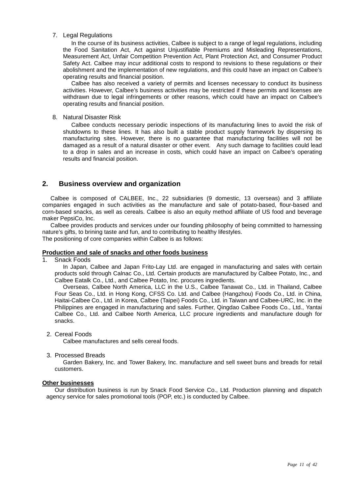#### 7. Legal Regulations

In the course of its business activities, Calbee is subject to a range of legal regulations, including the Food Sanitation Act, Act against Unjustifiable Premiums and Misleading Representations, Measurement Act, Unfair Competition Prevention Act, Plant Protection Act, and Consumer Product Safety Act. Calbee may incur additional costs to respond to revisions to these regulations or their abolishment and the implementation of new regulations, and this could have an impact on Calbee's operating results and financial position.

Calbee has also received a variety of permits and licenses necessary to conduct its business activities. However, Calbee's business activities may be restricted if these permits and licenses are withdrawn due to legal infringements or other reasons, which could have an impact on Calbee's operating results and financial position.

#### 8. Natural Disaster Risk

Calbee conducts necessary periodic inspections of its manufacturing lines to avoid the risk of shutdowns to these lines. It has also built a stable product supply framework by dispersing its manufacturing sites. However, there is no guarantee that manufacturing facilities will not be damaged as a result of a natural disaster or other event. Any such damage to facilities could lead to a drop in sales and an increase in costs, which could have an impact on Calbee's operating results and financial position.

#### **2. Business overview and organization**

Calbee is composed of CALBEE, Inc., 22 subsidiaries (9 domestic, 13 overseas) and 3 affiliate companies engaged in such activities as the manufacture and sale of potato-based, flour-based and corn-based snacks, as well as cereals. Calbee is also an equity method affiliate of US food and beverage maker PepsiCo, Inc.

Calbee provides products and services under our founding philosophy of being committed to harnessing nature's gifts, to brining taste and fun, and to contributing to healthy lifestyles.

The positioning of core companies within Calbee is as follows:

#### **Production and sale of snacks and other foods business**

1. Snack Foods

In Japan, Calbee and Japan Frito-Lay Ltd. are engaged in manufacturing and sales with certain products sold through Calnac Co., Ltd. Certain products are manufactured by Calbee Potato, Inc., and Calbee Eatalk Co., Ltd., and Calbee Potato, Inc. procures ingredients.

Overseas, Calbee North America, LLC in the U.S., Calbee Tanawat Co., Ltd. in Thailand, Calbee Four Seas Co., Ltd. in Hong Kong, CFSS Co. Ltd. and Calbee (Hangzhou) Foods Co., Ltd. in China, Haitai-Calbee Co., Ltd. in Korea, Calbee (Taipei) Foods Co., Ltd. in Taiwan and Calbee-URC, Inc. in the Philippines are engaged in manufacturing and sales. Further, Qingdao Calbee Foods Co., Ltd., Yantai Calbee Co., Ltd. and Calbee North America, LLC procure ingredients and manufacture dough for snacks.

2. Cereal Foods

Calbee manufactures and sells cereal foods.

3. Processed Breads

Garden Bakery, Inc. and Tower Bakery, Inc. manufacture and sell sweet buns and breads for retail customers.

#### **Other businesses**

Our distribution business is run by Snack Food Service Co., Ltd. Production planning and dispatch agency service for sales promotional tools (POP, etc.) is conducted by Calbee.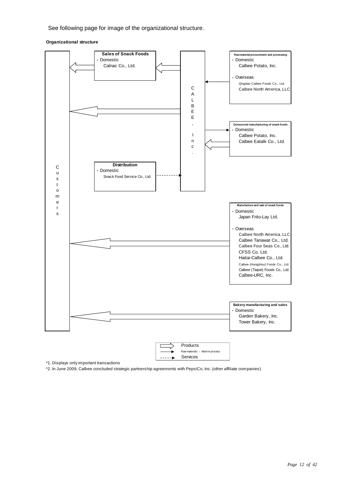#### See following page for image of the organizational structure.

#### **Organizational structure**



\*1. Displays only important transactions

\*2. In June 2009, Calbee concluded strategic partnership agreements with PepsiCo, Inc. (other affiliate companies)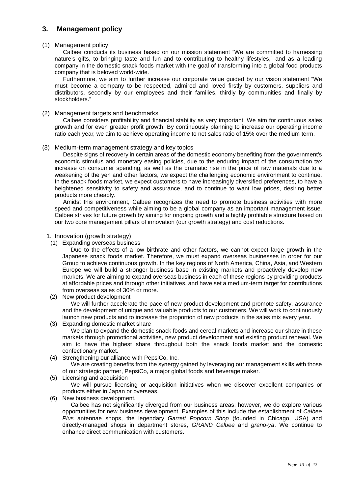## **3. Management policy**

#### (1) Management policy

Calbee conducts its business based on our mission statement "We are committed to harnessing nature's gifts, to bringing taste and fun and to contributing to healthy lifestyles," and as a leading company in the domestic snack foods market with the goal of transforming into a global food products company that is beloved world-wide.

Furthermore, we aim to further increase our corporate value guided by our vision statement "We must become a company to be respected, admired and loved firstly by customers, suppliers and distributors, secondly by our employees and their families, thirdly by communities and finally by stockholders."

#### (2) Management targets and benchmarks

Calbee considers profitability and financial stability as very important. We aim for continuous sales growth and for even greater profit growth. By continuously planning to increase our operating income ratio each year, we aim to achieve operating income to net sales ratio of 15% over the medium term.

#### (3) Medium-term management strategy and key topics

Despite signs of recovery in certain areas of the domestic economy benefiting from the government's economic stimulus and monetary easing policies, due to the enduring impact of the consumption tax increase on consumer spending, as well as the dramatic rise in the price of raw materials due to a weakening of the yen and other factors, we expect the challenging economic environment to continue. In the snack foods market, we expect customers to have increasingly diversified preferences, to have a heightened sensitivity to safety and assurance, and to continue to want low prices, desiring better products more cheaply.

Amidst this environment, Calbee recognizes the need to promote business activities with more speed and competitiveness while aiming to be a global company as an important management issue. Calbee strives for future growth by aiming for ongoing growth and a highly profitable structure based on our two core management pillars of innovation (our growth strategy) and cost reductions.

#### 1. Innovation (growth strategy)

(1) Expanding overseas business

Due to the effects of a low birthrate and other factors, we cannot expect large growth in the Japanese snack foods market. Therefore, we must expand overseas businesses in order for our Group to achieve continuous growth. In the key regions of North America, China, Asia, and Western Europe we will build a stronger business base in existing markets and proactively develop new markets. We are aiming to expand overseas business in each of these regions by providing products at affordable prices and through other initiatives, and have set a medium-term target for contributions from overseas sales of 30% or more.

(2) New product development

We will further accelerate the pace of new product development and promote safety, assurance and the development of unique and valuable products to our customers. We will work to continuously launch new products and to increase the proportion of new products in the sales mix every year.

(3) Expanding domestic market share

We plan to expand the domestic snack foods and cereal markets and increase our share in these markets through promotional activities, new product development and existing product renewal. We aim to have the highest share throughout both the snack foods market and the domestic confectionary market.

(4) Strengthening our alliance with PepsiCo, Inc.

We are creating benefits from the synergy gained by leveraging our management skills with those of our strategic partner, PepsiCo, a major global foods and beverage maker.

(5) Licensing and acquisition

We will pursue licensing or acquisition initiatives when we discover excellent companies or products either in Japan or overseas.

(6) New business development.

Calbee has not significantly diverged from our business areas; however, we do explore various opportunities for new business development. Examples of this include the establishment of Calbee Plus antennae shops, the legendary Garrett Popcorn Shop (founded in Chicago, USA) and directly-managed shops in department stores, GRAND Calbee and grano-ya. We continue to enhance direct communication with customers.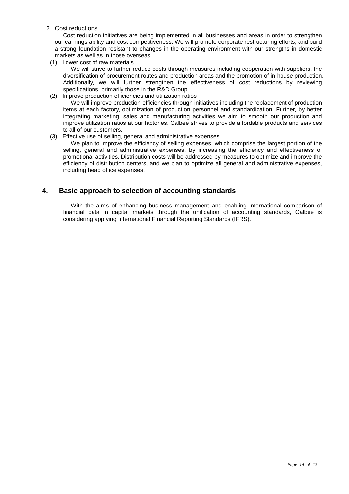2. Cost reductions

Cost reduction initiatives are being implemented in all businesses and areas in order to strengthen our earnings ability and cost competitiveness. We will promote corporate restructuring efforts, and build a strong foundation resistant to changes in the operating environment with our strengths in domestic markets as well as in those overseas.

(1) Lower cost of raw materials

We will strive to further reduce costs through measures including cooperation with suppliers, the diversification of procurement routes and production areas and the promotion of in-house production. Additionally, we will further strengthen the effectiveness of cost reductions by reviewing specifications, primarily those in the R&D Group.

(2) Improve production efficiencies and utilization ratios

We will improve production efficiencies through initiatives including the replacement of production items at each factory, optimization of production personnel and standardization. Further, by better integrating marketing, sales and manufacturing activities we aim to smooth our production and improve utilization ratios at our factories. Calbee strives to provide affordable products and services to all of our customers.

(3) Effective use of selling, general and administrative expenses

We plan to improve the efficiency of selling expenses, which comprise the largest portion of the selling, general and administrative expenses, by increasing the efficiency and effectiveness of promotional activities. Distribution costs will be addressed by measures to optimize and improve the efficiency of distribution centers, and we plan to optimize all general and administrative expenses, including head office expenses.

#### **4. Basic approach to selection of accounting standards**

With the aims of enhancing business management and enabling international comparison of financial data in capital markets through the unification of accounting standards, Calbee is considering applying International Financial Reporting Standards (IFRS).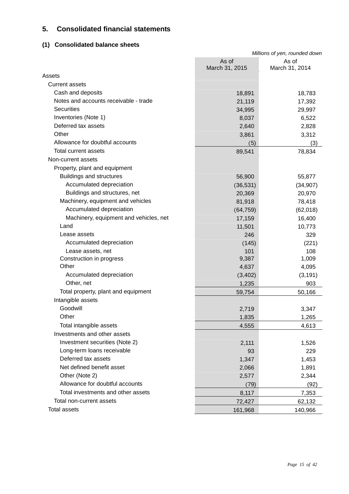## **5. Consolidated financial statements**

## **(1) Consolidated balance sheets**

| As of<br>As of<br>March 31, 2015<br>March 31, 2014<br>Assets<br><b>Current assets</b><br>Cash and deposits<br>18,891<br>18,783<br>Notes and accounts receivable - trade<br>21,119<br>17,392<br><b>Securities</b><br>34,995<br>29,997<br>Inventories (Note 1)<br>8,037<br>6,522<br>Deferred tax assets<br>2,640<br>2,828<br>Other<br>3,312<br>3,861<br>Allowance for doubtful accounts<br>(3)<br>(5) | Millions of yen, rounded down |  |  |  |
|-----------------------------------------------------------------------------------------------------------------------------------------------------------------------------------------------------------------------------------------------------------------------------------------------------------------------------------------------------------------------------------------------------|-------------------------------|--|--|--|
|                                                                                                                                                                                                                                                                                                                                                                                                     |                               |  |  |  |
|                                                                                                                                                                                                                                                                                                                                                                                                     |                               |  |  |  |
|                                                                                                                                                                                                                                                                                                                                                                                                     |                               |  |  |  |
|                                                                                                                                                                                                                                                                                                                                                                                                     |                               |  |  |  |
|                                                                                                                                                                                                                                                                                                                                                                                                     |                               |  |  |  |
|                                                                                                                                                                                                                                                                                                                                                                                                     |                               |  |  |  |
|                                                                                                                                                                                                                                                                                                                                                                                                     |                               |  |  |  |
|                                                                                                                                                                                                                                                                                                                                                                                                     |                               |  |  |  |
|                                                                                                                                                                                                                                                                                                                                                                                                     |                               |  |  |  |
|                                                                                                                                                                                                                                                                                                                                                                                                     |                               |  |  |  |
| Total current assets<br>89,541<br>78,834                                                                                                                                                                                                                                                                                                                                                            |                               |  |  |  |
| Non-current assets                                                                                                                                                                                                                                                                                                                                                                                  |                               |  |  |  |
| Property, plant and equipment                                                                                                                                                                                                                                                                                                                                                                       |                               |  |  |  |
| <b>Buildings and structures</b><br>56,900<br>55,877                                                                                                                                                                                                                                                                                                                                                 |                               |  |  |  |
| Accumulated depreciation<br>(36, 531)<br>(34, 907)                                                                                                                                                                                                                                                                                                                                                  |                               |  |  |  |
| Buildings and structures, net<br>20,369<br>20,970                                                                                                                                                                                                                                                                                                                                                   |                               |  |  |  |
| Machinery, equipment and vehicles<br>81,918<br>78,418                                                                                                                                                                                                                                                                                                                                               |                               |  |  |  |
| Accumulated depreciation<br>(64, 759)<br>(62,018)                                                                                                                                                                                                                                                                                                                                                   |                               |  |  |  |
| Machinery, equipment and vehicles, net<br>16,400<br>17,159                                                                                                                                                                                                                                                                                                                                          |                               |  |  |  |
| Land<br>10,773<br>11,501                                                                                                                                                                                                                                                                                                                                                                            |                               |  |  |  |
| Lease assets<br>246<br>329                                                                                                                                                                                                                                                                                                                                                                          |                               |  |  |  |
| Accumulated depreciation<br>(145)<br>(221)                                                                                                                                                                                                                                                                                                                                                          |                               |  |  |  |
| Lease assets, net<br>101<br>108                                                                                                                                                                                                                                                                                                                                                                     |                               |  |  |  |
| 9,387<br>1,009<br>Construction in progress                                                                                                                                                                                                                                                                                                                                                          |                               |  |  |  |
| Other<br>4,637<br>4,095                                                                                                                                                                                                                                                                                                                                                                             |                               |  |  |  |
| Accumulated depreciation<br>(3, 191)<br>(3, 402)                                                                                                                                                                                                                                                                                                                                                    |                               |  |  |  |
| Other, net<br>1,235<br>903                                                                                                                                                                                                                                                                                                                                                                          |                               |  |  |  |
| Total property, plant and equipment<br>59,754<br>50,166                                                                                                                                                                                                                                                                                                                                             |                               |  |  |  |
| Intangible assets                                                                                                                                                                                                                                                                                                                                                                                   |                               |  |  |  |
| Goodwill<br>2,719<br>3,347                                                                                                                                                                                                                                                                                                                                                                          |                               |  |  |  |
| Other<br>1,835<br>1,265                                                                                                                                                                                                                                                                                                                                                                             |                               |  |  |  |
| Total intangible assets<br>4,613<br>4,555                                                                                                                                                                                                                                                                                                                                                           |                               |  |  |  |
| Investments and other assets                                                                                                                                                                                                                                                                                                                                                                        |                               |  |  |  |
| Investment securities (Note 2)<br>2,111<br>1,526                                                                                                                                                                                                                                                                                                                                                    |                               |  |  |  |
| Long-term loans receivable<br>229<br>93                                                                                                                                                                                                                                                                                                                                                             |                               |  |  |  |
| Deferred tax assets<br>1,347<br>1,453                                                                                                                                                                                                                                                                                                                                                               |                               |  |  |  |
| Net defined benefit asset<br>2,066<br>1,891                                                                                                                                                                                                                                                                                                                                                         |                               |  |  |  |
| Other (Note 2)<br>2,577<br>2,344                                                                                                                                                                                                                                                                                                                                                                    |                               |  |  |  |
| Allowance for doubtful accounts<br>(92)<br>(79)                                                                                                                                                                                                                                                                                                                                                     |                               |  |  |  |
| Total investments and other assets<br>8,117<br>7,353                                                                                                                                                                                                                                                                                                                                                |                               |  |  |  |
| Total non-current assets<br>72,427<br>62,132                                                                                                                                                                                                                                                                                                                                                        |                               |  |  |  |
| <b>Total assets</b><br>161,968<br>140,966                                                                                                                                                                                                                                                                                                                                                           |                               |  |  |  |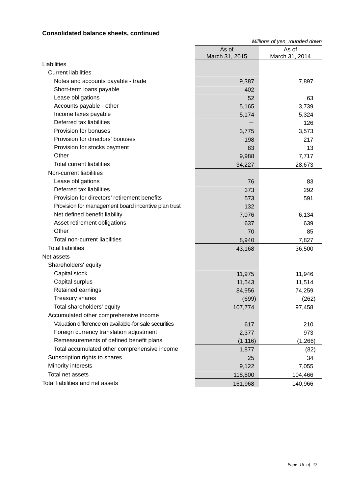## **Consolidated balance sheets, continued**

|                                                       |                         | Millions of yen, rounded down |
|-------------------------------------------------------|-------------------------|-------------------------------|
|                                                       | As of<br>March 31, 2015 | As of<br>March 31, 2014       |
| Liabilities                                           |                         |                               |
| <b>Current liabilities</b>                            |                         |                               |
| Notes and accounts payable - trade                    | 9,387                   | 7,897                         |
| Short-term loans payable                              | 402                     |                               |
| Lease obligations                                     | 52                      | 63                            |
| Accounts payable - other                              | 5,165                   | 3,739                         |
| Income taxes payable                                  | 5,174                   | 5,324                         |
| Deferred tax liabilities                              |                         | 126                           |
| Provision for bonuses                                 | 3,775                   | 3,573                         |
| Provision for directors' bonuses                      | 198                     | 217                           |
| Provision for stocks payment                          | 83                      | 13                            |
| Other                                                 | 9,988                   | 7,717                         |
| <b>Total current liabilities</b>                      | 34,227                  | 28,673                        |
| Non-current liabilities                               |                         |                               |
| Lease obligations                                     | 76                      | 83                            |
| Deferred tax liabilities                              | 373                     | 292                           |
| Provision for directors' retirement benefits          | 573                     | 591                           |
| Provision for management board incentive plan trust   | 132                     |                               |
| Net defined benefit liability                         | 7,076                   | 6,134                         |
| Asset retirement obligations                          | 637                     | 639                           |
| Other                                                 | 70                      | 85                            |
| Total non-current liabilities                         | 8,940                   | 7,827                         |
| <b>Total liabilities</b>                              | 43,168                  | 36,500                        |
| Net assets                                            |                         |                               |
| Shareholders' equity                                  |                         |                               |
| Capital stock                                         | 11,975                  | 11,946                        |
| Capital surplus                                       | 11,543                  | 11,514                        |
| Retained earnings                                     | 84,956                  | 74,259                        |
| <b>Treasury shares</b>                                | (699)                   | (262)                         |
| Total shareholders' equity                            | 107,774                 | 97,458                        |
| Accumulated other comprehensive income                |                         |                               |
| Valuation difference on available-for-sale securities | 617                     | 210                           |
| Foreign currency translation adjustment               | 2,377                   | 973                           |
| Remeasurements of defined benefit plans               | (1, 116)                | (1,266)                       |
| Total accumulated other comprehensive income          | 1,877                   | (82)                          |
| Subscription rights to shares                         | 25                      | 34                            |
| Minority interests                                    | 9,122                   | 7,055                         |
| Total net assets                                      | 118,800                 | 104,466                       |
| Total liabilities and net assets                      | 161,968                 | 140,966                       |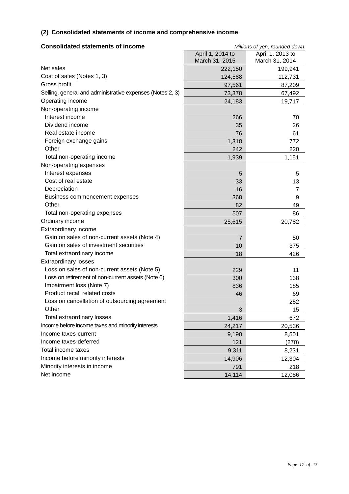## **(2) Consolidated statements of income and comprehensive income**

| <b>Consolidated statements of income</b>                  | Millions of yen, rounded down |                  |  |
|-----------------------------------------------------------|-------------------------------|------------------|--|
|                                                           | April 1, 2014 to              | April 1, 2013 to |  |
|                                                           | March 31, 2015                | March 31, 2014   |  |
| Net sales                                                 | 222,150                       | 199,941          |  |
| Cost of sales (Notes 1, 3)                                | 124,588                       | 112,731          |  |
| Gross profit                                              | 97,561                        | 87,209           |  |
| Selling, general and administrative expenses (Notes 2, 3) | 73,378                        | 67,492           |  |
| Operating income                                          | 24,183                        | 19,717           |  |
| Non-operating income                                      |                               |                  |  |
| Interest income                                           | 266                           | 70               |  |
| Dividend income                                           | 35                            | 26               |  |
| Real estate income                                        | 76                            | 61               |  |
| Foreign exchange gains                                    | 1,318                         | 772              |  |
| Other                                                     | 242                           | 220              |  |
| Total non-operating income                                | 1,939                         | 1,151            |  |
| Non-operating expenses                                    |                               |                  |  |
| Interest expenses                                         | 5                             | 5                |  |
| Cost of real estate                                       | 33                            | 13               |  |
| Depreciation                                              | 16                            | 7                |  |
| Business commencement expenses                            | 368                           | 9                |  |
| Other                                                     | 82                            | 49               |  |
| Total non-operating expenses                              | 507                           | 86               |  |
| Ordinary income                                           | 25,615                        | 20,782           |  |
| Extraordinary income                                      |                               |                  |  |
| Gain on sales of non-current assets (Note 4)              | $\overline{7}$                | 50               |  |
| Gain on sales of investment securities                    | 10                            | 375              |  |
| Total extraordinary income                                | 18                            | 426              |  |
| <b>Extraordinary losses</b>                               |                               |                  |  |
| Loss on sales of non-current assets (Note 5)              | 229                           | 11               |  |
| Loss on retirement of non-current assets (Note 6)         | 300                           | 138              |  |
| Impairment loss (Note 7)                                  | 836                           | 185              |  |
| Product recall related costs                              | 46                            | 69               |  |
| Loss on cancellation of outsourcing agreement             |                               | 252              |  |
| Other                                                     | 3                             | 15               |  |
| Total extraordinary losses                                | 1,416                         | 672              |  |
| Income before income taxes and minority interests         | 24,217                        | 20,536           |  |
| Income taxes-current                                      | 9,190                         | 8,501            |  |
| Income taxes-deferred                                     | 121                           | (270)            |  |
| Total income taxes                                        | 9,311                         | 8,231            |  |
| Income before minority interests                          | 14,906                        | 12,304           |  |
| Minority interests in income                              | 791                           | 218              |  |
| Net income                                                | 14,114                        | 12,086           |  |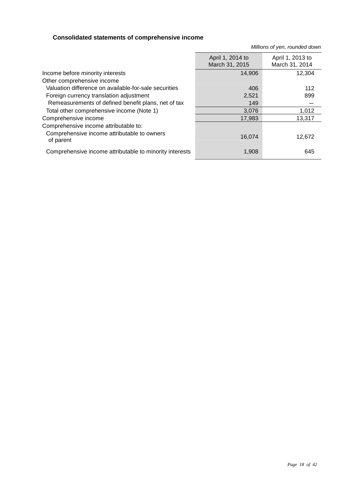## **Consolidated statements of comprehensive income**

|                                                          | Millions of yen, rounded down      |                                    |  |
|----------------------------------------------------------|------------------------------------|------------------------------------|--|
|                                                          | April 1, 2014 to<br>March 31, 2015 | April 1, 2013 to<br>March 31, 2014 |  |
| Income before minority interests                         | 14,906                             | 12,304                             |  |
| Other comprehensive income                               |                                    |                                    |  |
| Valuation difference on available-for-sale securities    | 406                                | 112                                |  |
| Foreign currency translation adjustment                  | 2,521                              | 899                                |  |
| Remeasurements of defined benefit plans, net of tax      | 149                                |                                    |  |
| Total other comprehensive income (Note 1)                | 3,076                              | 1,012                              |  |
| Comprehensive income                                     | 17,983                             | 13,317                             |  |
| Comprehensive income attributable to:                    |                                    |                                    |  |
| Comprehensive income attributable to owners<br>of parent | 16,074                             | 12,672                             |  |
| Comprehensive income attributable to minority interests  | 1.908                              | 645                                |  |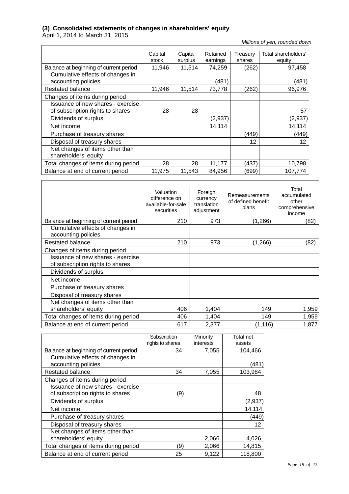#### **(3) Consolidated statements of changes in shareholders' equity**

April 1, 2014 to March 31, 2015

Millions of yen, rounded down

|                                        | Capital | Capital | Retained | Treasury | Total shareholders' |  |
|----------------------------------------|---------|---------|----------|----------|---------------------|--|
|                                        | stock   | surplus | earnings | shares   | equity              |  |
| Balance at beginning of current period | 11,946  | 11,514  | 74,259   | (262)    | 97,458              |  |
| Cumulative effects of changes in       |         |         |          |          |                     |  |
| accounting policies                    |         |         | (481)    |          | (481                |  |
| <b>Restated balance</b>                | 11,946  | 11,514  | 73,778   | (262)    | 96,976              |  |
| Changes of items during period         |         |         |          |          |                     |  |
| Issuance of new shares - exercise      |         |         |          |          |                     |  |
| of subscription rights to shares       | 28      | 28      |          |          | 57                  |  |
| Dividends of surplus                   |         |         | (2,937)  |          | (2,937)             |  |
| Net income                             |         |         | 14,114   |          | 14,114              |  |
| Purchase of treasury shares            |         |         |          | (449)    | (449)               |  |
| Disposal of treasury shares            |         |         |          | 12       | 12                  |  |
| Net changes of items other than        |         |         |          |          |                     |  |
| shareholders' equity                   |         |         |          |          |                     |  |
| Total changes of items during period   | 28      | 28      | 11,177   | (437)    | 10,798              |  |
| Balance at end of current period       | 11,975  | 11,543  | 84,956   | (699)    | 107,774             |  |

|                                                                       | Valuation<br>difference on<br>available-for-sale<br>securities | Foreign<br>currency<br>translation<br>adjustment | Remeasurements<br>of defined benefit<br>plans | Total<br>accumulated<br>other<br>comprehensive<br>income |
|-----------------------------------------------------------------------|----------------------------------------------------------------|--------------------------------------------------|-----------------------------------------------|----------------------------------------------------------|
| Balance at beginning of current period                                | 210                                                            | 973                                              | (1,266)                                       | (82)                                                     |
| Cumulative effects of changes in<br>accounting policies               |                                                                |                                                  |                                               |                                                          |
| Restated balance                                                      | 210                                                            | 973                                              | (1,266)                                       | (82)                                                     |
| Changes of items during period                                        |                                                                |                                                  |                                               |                                                          |
| Issuance of new shares - exercise<br>of subscription rights to shares |                                                                |                                                  |                                               |                                                          |
| Dividends of surplus                                                  |                                                                |                                                  |                                               |                                                          |
| Net income                                                            |                                                                |                                                  |                                               |                                                          |
| Purchase of treasury shares                                           |                                                                |                                                  |                                               |                                                          |
| Disposal of treasury shares                                           |                                                                |                                                  |                                               |                                                          |
| Net changes of items other than                                       |                                                                |                                                  |                                               |                                                          |
| shareholders' equity                                                  | 406                                                            | 1,404                                            | 149                                           | 1,959                                                    |
| Total changes of items during period                                  | 406                                                            | 1,404                                            | 149                                           | 1,959                                                    |
| Balance at end of current period                                      | 617                                                            | 2,377                                            | (1,116)                                       | 1,877                                                    |

|                                        | Subscription<br>rights to shares | Minority<br>interests | Total net<br>assets |
|----------------------------------------|----------------------------------|-----------------------|---------------------|
| Balance at beginning of current period | 34                               | 7,055                 | 104,466             |
| Cumulative effects of changes in       |                                  |                       |                     |
| accounting policies                    |                                  |                       | (481)               |
| Restated balance                       | 34                               | 7,055                 | 103,984             |
| Changes of items during period         |                                  |                       |                     |
| Issuance of new shares - exercise      |                                  |                       |                     |
| of subscription rights to shares       | 9)                               |                       | 48                  |
| Dividends of surplus                   |                                  |                       | (2,937)             |
| Net income                             |                                  |                       | 14,114              |
| Purchase of treasury shares            |                                  |                       | (449)               |
| Disposal of treasury shares            |                                  |                       | 12                  |
| Net changes of items other than        |                                  |                       |                     |
| shareholders' equity                   |                                  | 2,066                 | 4,026               |
| Total changes of items during period   | 9)                               | 2,066                 | 14,815              |
| Balance at end of current period       | 25                               | 9,122                 | 118,800             |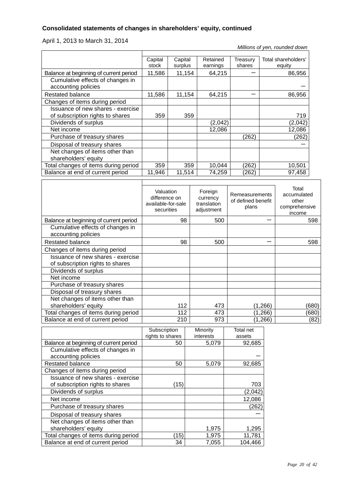## **Consolidated statements of changes in shareholders' equity, continued**

## April 1, 2013 to March 31, 2014

| Millions of yen, rounded down |  |  |
|-------------------------------|--|--|
|                               |  |  |

|                                        |         |         |          |          | <u><u>Nillions</u> of year, rounded down</u> |
|----------------------------------------|---------|---------|----------|----------|----------------------------------------------|
|                                        |         |         |          |          |                                              |
|                                        | Capital | Capital | Retained | Treasury | Total shareholders'                          |
|                                        | stock   | surplus | earnings | shares   | equity                                       |
| Balance at beginning of current period | 11,586  | 11,154  | 64,215   |          | 86,956                                       |
| Cumulative effects of changes in       |         |         |          |          |                                              |
| accounting policies                    |         |         |          |          |                                              |
| Restated balance                       | 11,586  | 11,154  | 64,215   |          | 86,956                                       |
| Changes of items during period         |         |         |          |          |                                              |
| Issuance of new shares - exercise      |         |         |          |          |                                              |
| of subscription rights to shares       | 359     | 359     |          |          | 719                                          |
| Dividends of surplus                   |         |         | (2,042)  |          | (2,042)                                      |
| Net income                             |         |         | 12,086   |          | 12,086                                       |
| Purchase of treasury shares            |         |         |          | (262)    | (262)                                        |
| Disposal of treasury shares            |         |         |          |          |                                              |
| Net changes of items other than        |         |         |          |          |                                              |
| shareholders' equity                   |         |         |          |          |                                              |
| Total changes of items during period   | 359     | 359     | 10,044   | (262)    | 10,501                                       |
| Balance at end of current period       | 11,946  | 11,514  | 74,259   | (262)    | 97,458                                       |

|                                                                       | Valuation<br>difference on<br>available-for-sale<br>securities | Foreign<br>currency<br>translation<br>adjustment | <b>Remeasurements</b><br>of defined benefit<br>plans | Total<br>accumulated<br>other<br>comprehensive<br>income |
|-----------------------------------------------------------------------|----------------------------------------------------------------|--------------------------------------------------|------------------------------------------------------|----------------------------------------------------------|
| Balance at beginning of current period                                | 98                                                             | 500                                              |                                                      | 598                                                      |
| Cumulative effects of changes in<br>accounting policies               |                                                                |                                                  |                                                      |                                                          |
| <b>Restated balance</b>                                               | 98                                                             | 500                                              |                                                      | 598                                                      |
| Changes of items during period                                        |                                                                |                                                  |                                                      |                                                          |
| Issuance of new shares - exercise<br>of subscription rights to shares |                                                                |                                                  |                                                      |                                                          |
| Dividends of surplus                                                  |                                                                |                                                  |                                                      |                                                          |
| Net income                                                            |                                                                |                                                  |                                                      |                                                          |
| Purchase of treasury shares                                           |                                                                |                                                  |                                                      |                                                          |
| Disposal of treasury shares                                           |                                                                |                                                  |                                                      |                                                          |
| Net changes of items other than                                       |                                                                |                                                  |                                                      |                                                          |
| shareholders' equity                                                  | 112                                                            | 473                                              | (1,266)                                              | (680)                                                    |
| Total changes of items during period                                  | 112                                                            | 473                                              | (1,266)                                              | (680)                                                    |
| Balance at end of current period                                      | 210                                                            | 973                                              | (1,266)                                              | (82)                                                     |

|                                        | Subscription     | Minority  | Total net |
|----------------------------------------|------------------|-----------|-----------|
|                                        | rights to shares | interests | assets    |
| Balance at beginning of current period | 50               | 5,079     | 92,685    |
| Cumulative effects of changes in       |                  |           |           |
| accounting policies                    |                  |           |           |
| Restated balance                       | 50               | 5,079     | 92,685    |
| Changes of items during period         |                  |           |           |
| Issuance of new shares - exercise      |                  |           |           |
| of subscription rights to shares       | ั15)             |           | 703       |
| Dividends of surplus                   |                  |           | (2,042)   |
| Net income                             |                  |           | 12,086    |
| Purchase of treasury shares            |                  |           | 262)      |
| Disposal of treasury shares            |                  |           |           |
| Net changes of items other than        |                  |           |           |
| shareholders' equity                   |                  | 1,975     | 1,295     |
| Total changes of items during period   | 15)              | 1,975     | 11,781    |
| Balance at end of current period       | 34               | 7,055     | 104,466   |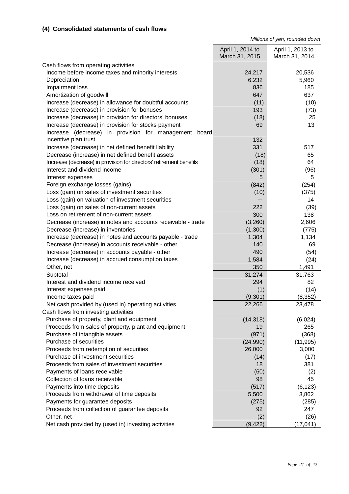## **(4) Consolidated statements of cash flows**

Millions of yen, rounded down

|                                                                                  | April 1, 2014 to<br>March 31, 2015 | April 1, 2013 to<br>March 31, 2014 |
|----------------------------------------------------------------------------------|------------------------------------|------------------------------------|
| Cash flows from operating activities                                             |                                    |                                    |
| Income before income taxes and minority interests                                | 24,217                             | 20,536                             |
| Depreciation                                                                     | 6,232                              | 5,960                              |
| Impairment loss                                                                  | 836                                | 185                                |
| Amortization of goodwill                                                         | 647                                | 637                                |
| Increase (decrease) in allowance for doubtful accounts                           | (11)                               | (10)                               |
| Increase (decrease) in provision for bonuses                                     | 193                                | (73)                               |
| Increase (decrease) in provision for directors' bonuses                          | (18)                               | 25                                 |
| Increase (decrease) in provision for stocks payment                              | 69                                 | 13                                 |
| Increase (decrease) in provision for management<br>board<br>incentive plan trust | 132                                |                                    |
| Increase (decrease) in net defined benefit liability                             | 331                                | 517                                |
| Decrease (increase) in net defined benefit assets                                | (18)                               | 65                                 |
| Increase (decrease) in provision for directors' retirement benefits              | (18)                               | 64                                 |
| Interest and dividend income                                                     | (301)                              | (96)                               |
| Interest expenses                                                                | 5                                  | 5                                  |
| Foreign exchange losses (gains)                                                  | (842)                              | (254)                              |
| Loss (gain) on sales of investment securities                                    | (10)                               | (375)                              |
| Loss (gain) on valuation of investment securities                                |                                    | 14                                 |
| Loss (gain) on sales of non-current assets                                       | 222                                | (39)                               |
| Loss on retirement of non-current assets                                         | 300                                | 138                                |
| Decrease (increase) in notes and accounts receivable - trade                     | (3,260)                            | 2,606                              |
| Decrease (increase) in inventories                                               | (1,300)                            | (775)                              |
| Increase (decrease) in notes and accounts payable - trade                        | 1,304                              | 1,134                              |
| Decrease (increase) in accounts receivable - other                               | 140                                | 69                                 |
| Increase (decrease) in accounts payable - other                                  | 490                                | (54)                               |
| Increase (decrease) in accrued consumption taxes                                 | 1,584                              | (24)                               |
| Other, net                                                                       | 350                                | 1,491                              |
| Subtotal                                                                         | 31,274                             | 31,763                             |
| Interest and dividend income received                                            | 294                                | 82                                 |
| Interest expenses paid                                                           | (1)                                | (14)                               |
| Income taxes paid                                                                | (9, 301)                           | (8, 352)                           |
| Net cash provided by (used in) operating activities                              | 22,266                             | 23,478                             |
| Cash flows from investing activities                                             |                                    |                                    |
| Purchase of property, plant and equipment                                        | (14, 318)                          | (6,024)                            |
| Proceeds from sales of property, plant and equipment                             | 19                                 | 265                                |
| Purchase of intangible assets                                                    | (971)                              | (368)                              |
| Purchase of securities                                                           | (24,990)                           | (11, 995)                          |
| Proceeds from redemption of securities                                           | 26,000                             | 3,000                              |
| Purchase of investment securities                                                | (14)                               | (17)                               |
| Proceeds from sales of investment securities                                     | 18                                 | 381                                |
| Payments of loans receivable                                                     | (60)                               | (2)                                |
| Collection of loans receivable                                                   | 98                                 | 45                                 |
| Payments into time deposits                                                      | (517)                              | (6, 123)                           |
| Proceeds from withdrawal of time deposits                                        | 5,500                              | 3,862                              |
| Payments for guarantee deposits                                                  | (275)                              | (285)                              |
| Proceeds from collection of guarantee deposits<br>Other, net                     | 92<br>(2)                          | 247<br>(26)                        |
| Net cash provided by (used in) investing activities                              | (9, 422)                           | (17, 041)                          |
|                                                                                  |                                    |                                    |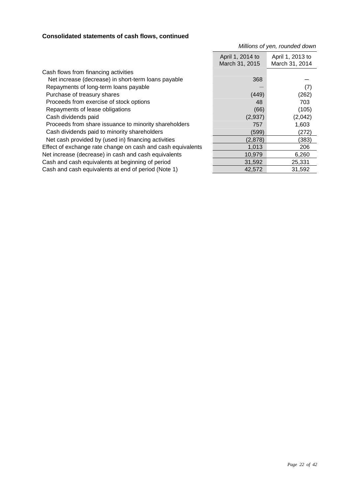## **Consolidated statements of cash flows, continued**

Millions of yen, rounded down

|                                                             | April 1, 2014 to<br>March 31, 2015 | April 1, 2013 to<br>March 31, 2014 |
|-------------------------------------------------------------|------------------------------------|------------------------------------|
| Cash flows from financing activities                        |                                    |                                    |
| Net increase (decrease) in short-term loans payable         | 368                                |                                    |
| Repayments of long-term loans payable                       |                                    | (7)                                |
| Purchase of treasury shares                                 | (449)                              | (262)                              |
| Proceeds from exercise of stock options                     | 48                                 | 703                                |
| Repayments of lease obligations                             | (66)                               | (105)                              |
| Cash dividends paid                                         | (2,937)                            | (2,042)                            |
| Proceeds from share issuance to minority shareholders       | 757                                | 1,603                              |
| Cash dividends paid to minority shareholders                | (599)                              | (272)                              |
| Net cash provided by (used in) financing activities         | (2,878)                            | (383)                              |
| Effect of exchange rate change on cash and cash equivalents | 1,013                              | 206                                |
| Net increase (decrease) in cash and cash equivalents        | 10,979                             | 6,260                              |
| Cash and cash equivalents at beginning of period            | 31,592                             | 25,331                             |
| Cash and cash equivalents at end of period (Note 1)         | 42,572                             | 31,592                             |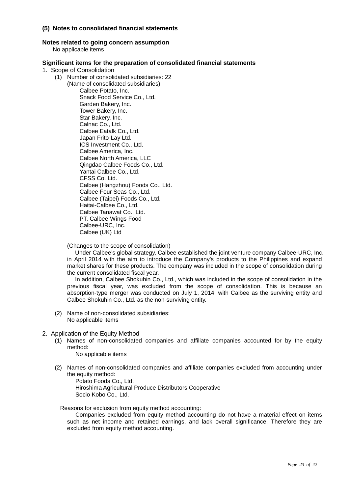#### **(5) Notes to consolidated financial statements**

#### **Notes related to going concern assumption**

No applicable items

#### **Significant items for the preparation of consolidated financial statements**

- 1. Scope of Consolidation
	- (1) Number of consolidated subsidiaries: 22

(Name of consolidated subsidiaries) Calbee Potato, Inc. Snack Food Service Co., Ltd. Garden Bakery, Inc. Tower Bakery, Inc. Star Bakery, Inc. Calnac Co., Ltd. Calbee Eatalk Co., Ltd. Japan Frito-Lay Ltd. ICS Investment Co., Ltd. Calbee America, Inc. Calbee North America, LLC Qingdao Calbee Foods Co., Ltd. Yantai Calbee Co., Ltd. CFSS Co. Ltd. Calbee (Hangzhou) Foods Co., Ltd. Calbee Four Seas Co., Ltd. Calbee (Taipei) Foods Co., Ltd. Haitai-Calbee Co., Ltd. Calbee Tanawat Co., Ltd. PT. Calbee-Wings Food Calbee-URC, Inc. Calbee (UK) Ltd

(Changes to the scope of consolidation)

Under Calbee's global strategy, Calbee established the joint venture company Calbee-URC, Inc. in April 2014 with the aim to introduce the Company's products to the Philippines and expand market shares for these products. The company was included in the scope of consolidation during the current consolidated fiscal year.

In addition, Calbee Shokuhin Co., Ltd., which was included in the scope of consolidation in the previous fiscal year, was excluded from the scope of consolidation. This is because an absorption-type merger was conducted on July 1, 2014, with Calbee as the surviving entity and Calbee Shokuhin Co., Ltd. as the non-surviving entity.

(2) Name of non-consolidated subsidiaries: No applicable items

#### 2. Application of the Equity Method

(1) Names of non-consolidated companies and affiliate companies accounted for by the equity method:

No applicable items

(2) Names of non-consolidated companies and affiliate companies excluded from accounting under the equity method:

Potato Foods Co., Ltd. Hiroshima Agricultural Produce Distributors Cooperative Socio Kobo Co., Ltd.

Reasons for exclusion from equity method accounting:

Companies excluded from equity method accounting do not have a material effect on items such as net income and retained earnings, and lack overall significance. Therefore they are excluded from equity method accounting.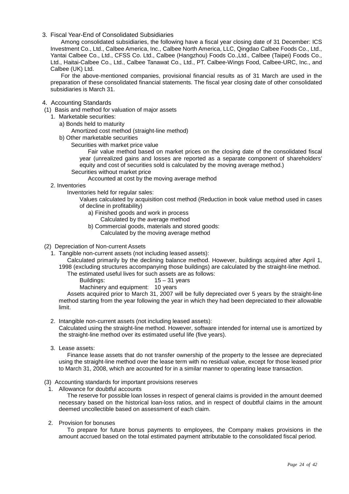3. Fiscal Year-End of Consolidated Subsidiaries

Among consolidated subsidiaries, the following have a fiscal year closing date of 31 December: ICS Investment Co., Ltd., Calbee America, Inc., Calbee North America, LLC, Qingdao Calbee Foods Co., Ltd., Yantai Calbee Co., Ltd., CFSS Co. Ltd., Calbee (Hangzhou) Foods Co.,Ltd., Calbee (Taipei) Foods Co., Ltd., Haitai-Calbee Co., Ltd., Calbee Tanawat Co., Ltd., PT. Calbee-Wings Food, Calbee-URC, Inc., and Calbee (UK) Ltd.

For the above-mentioned companies, provisional financial results as of 31 March are used in the preparation of these consolidated financial statements. The fiscal year closing date of other consolidated subsidiaries is March 31.

- 4. Accounting Standards
- (1) Basis and method for valuation of major assets
	- 1. Marketable securities:
		- a) Bonds held to maturity

Amortized cost method (straight-line method)

- b) Other marketable securities
	- Securities with market price value

Fair value method based on market prices on the closing date of the consolidated fiscal year (unrealized gains and losses are reported as a separate component of shareholders' equity and cost of securities sold is calculated by the moving average method.)

Securities without market price

Accounted at cost by the moving average method

2. Inventories

Inventories held for regular sales:

Values calculated by acquisition cost method (Reduction in book value method used in cases of decline in profitability)

- a) Finished goods and work in process
	- Calculated by the average method
- b) Commercial goods, materials and stored goods:

Calculated by the moving average method

- (2) Depreciation of Non-current Assets
	- 1. Tangible non-current assets (not including leased assets):

Calculated primarily by the declining balance method. However, buildings acquired after April 1, 1998 (excluding structures accompanying those buildings) are calculated by the straight-line method.

- The estimated useful lives for such assets are as follows:
	- Buildings: 15 31 years

Machinery and equipment: 10 years

Assets acquired prior to March 31, 2007 will be fully depreciated over 5 years by the straight-line method starting from the year following the year in which they had been depreciated to their allowable limit.

2. Intangible non-current assets (not including leased assets):

Calculated using the straight-line method. However, software intended for internal use is amortized by the straight-line method over its estimated useful life (five years).

3. Lease assets:

Finance lease assets that do not transfer ownership of the property to the lessee are depreciated using the straight-line method over the lease term with no residual value, except for those leased prior to March 31, 2008, which are accounted for in a similar manner to operating lease transaction.

- (3) Accounting standards for important provisions reserves
	- 1. Allowance for doubtful accounts

The reserve for possible loan losses in respect of general claims is provided in the amount deemed necessary based on the historical loan-loss ratios, and in respect of doubtful claims in the amount deemed uncollectible based on assessment of each claim.

2. Provision for bonuses

To prepare for future bonus payments to employees, the Company makes provisions in the amount accrued based on the total estimated payment attributable to the consolidated fiscal period.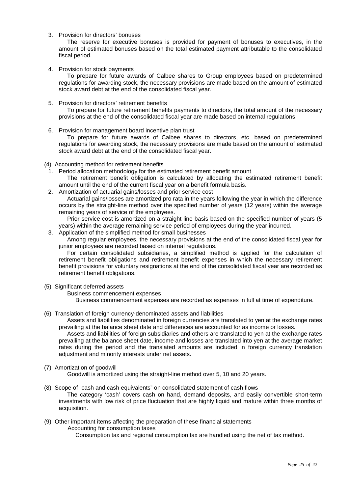3. Provision for directors' bonuses

The reserve for executive bonuses is provided for payment of bonuses to executives, in the amount of estimated bonuses based on the total estimated payment attributable to the consolidated fiscal period.

4. Provision for stock payments

To prepare for future awards of Calbee shares to Group employees based on predetermined regulations for awarding stock, the necessary provisions are made based on the amount of estimated stock award debt at the end of the consolidated fiscal year.

#### 5. Provision for directors' retirement benefits

To prepare for future retirement benefits payments to directors, the total amount of the necessary provisions at the end of the consolidated fiscal year are made based on internal regulations.

6. Provision for management board incentive plan trust

To prepare for future awards of Calbee shares to directors, etc. based on predetermined regulations for awarding stock, the necessary provisions are made based on the amount of estimated stock award debt at the end of the consolidated fiscal year.

- (4) Accounting method for retirement benefits
	- 1. Period allocation methodology for the estimated retirement benefit amount The retirement benefit obligation is calculated by allocating the estimated retirement benefit amount until the end of the current fiscal year on a benefit formula basis.
	- 2. Amortization of actuarial gains/losses and prior service cost Actuarial gains/losses are amortized pro rata in the years following the year in which the difference

occurs by the straight-line method over the specified number of years (12 years) within the average remaining years of service of the employees.

Prior service cost is amortized on a straight-line basis based on the specified number of years (5 years) within the average remaining service period of employees during the year incurred.

3. Application of the simplified method for small businesses

Among regular employees, the necessary provisions at the end of the consolidated fiscal year for junior employees are recorded based on internal regulations.

For certain consolidated subsidiaries, a simplified method is applied for the calculation of retirement benefit obligations and retirement benefit expenses in which the necessary retirement benefit provisions for voluntary resignations at the end of the consolidated fiscal year are recorded as retirement benefit obligations.

(5) Significant deferred assets

Business commencement expenses

Business commencement expenses are recorded as expenses in full at time of expenditure.

(6) Translation of foreign currency-denominated assets and liabilities

Assets and liabilities denominated in foreign currencies are translated to yen at the exchange rates prevailing at the balance sheet date and differences are accounted for as income or losses.

Assets and liabilities of foreign subsidiaries and others are translated to yen at the exchange rates prevailing at the balance sheet date, income and losses are translated into yen at the average market rates during the period and the translated amounts are included in foreign currency translation adjustment and minority interests under net assets.

(7) Amortization of goodwill

acquisition.

Goodwill is amortized using the straight-line method over 5, 10 and 20 years.

- (8) Scope of "cash and cash equivalents" on consolidated statement of cash flows The category 'cash' covers cash on hand, demand deposits, and easily convertible short-term investments with low risk of price fluctuation that are highly liquid and mature within three months of
- (9) Other important items affecting the preparation of these financial statements

Accounting for consumption taxes

Consumption tax and regional consumption tax are handled using the net of tax method.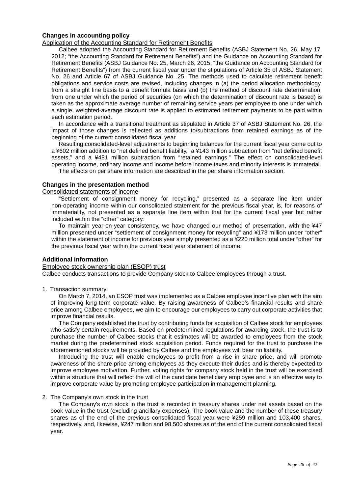#### **Changes in accounting policy**

#### Application of the Accounting Standard for Retirement Benefits

Calbee adopted the Accounting Standard for Retirement Benefits (ASBJ Statement No. 26, May 17, 2012; "the Accounting Standard for Retirement Benefits") and the Guidance on Accounting Standard for Retirement Benefits (ASBJ Guidance No. 25, March 26, 2015; "the Guidance on Accounting Standard for Retirement Benefits") from the current fiscal year under the stipulations of Article 35 of ASBJ Statement No. 26 and Article 67 of ASBJ Guidance No. 25. The methods used to calculate retirement benefit obligations and service costs are revised, including changes in (a) the period allocation methodology, from a straight line basis to a benefit formula basis and (b) the method of discount rate determination, from one under which the period of securities (on which the determination of discount rate is based) is taken as the approximate average number of remaining service years per employee to one under which a single, weighted-average discount rate is applied to estimated retirement payments to be paid within each estimation period.

In accordance with a transitional treatment as stipulated in Article 37 of ASBJ Statement No. 26, the impact of those changes is reflected as additions to/subtractions from retained earnings as of the beginning of the current consolidated fiscal year.

Resulting consolidated-level adjustments to beginning balances for the current fiscal year came out to a ¥602 million addition to "net defined benefit liability," a ¥143 million subtraction from "net defined benefit assets," and a ¥481 million subtraction from "retained earnings." The effect on consolidated-level operating income, ordinary income and income before income taxes and minority interests is immaterial.

The effects on per share information are described in the per share information section.

#### **Changes in the presentation method**

#### Consolidated statements of income

"Settlement of consignment money for recycling," presented as a separate line item under non-operating income within our consolidated statement for the previous fiscal year, is, for reasons of immateriality, not presented as a separate line item within that for the current fiscal year but rather included within the "other" category.

To maintain year-on-year consistency, we have changed our method of presentation, with the ¥47 million presented under "settlement of consignment money for recycling" and ¥173 million under "other" within the statement of income for previous year simply presented as a ¥220 million total under "other" for the previous fiscal year within the current fiscal year statement of income.

#### **Additional information**

#### Employee stock ownership plan (ESOP) trust

Calbee conducts transactions to provide Company stock to Calbee employees through a trust.

#### 1. Transaction summary

On March 7, 2014, an ESOP trust was implemented as a Calbee employee incentive plan with the aim of improving long-term corporate value. By raising awareness of Calbee's financial results and share price among Calbee employees, we aim to encourage our employees to carry out corporate activities that improve financial results.

The Company established the trust by contributing funds for acquisition of Calbee stock for employees who satisfy certain requirements. Based on predetermined regulations for awarding stock, the trust is to purchase the number of Calbee stocks that it estimates will be awarded to employees from the stock market during the predetermined stock acquisition period. Funds required for the trust to purchase the aforementioned stocks will be provided by Calbee and the employees will bear no liability.

Introducing the trust will enable employees to profit from a rise in share price, and will promote awareness of the share price among employees as they execute their duties and is thereby expected to improve employee motivation. Further, voting rights for company stock held in the trust will be exercised within a structure that will reflect the will of the candidate beneficiary employee and is an effective way to improve corporate value by promoting employee participation in management planning.

#### 2. The Company's own stock in the trust

The Company's own stock in the trust is recorded in treasury shares under net assets based on the book value in the trust (excluding ancillary expenses). The book value and the number of these treasury shares as of the end of the previous consolidated fiscal year were ¥259 million and 103,400 shares, respectively, and, likewise, ¥247 million and 98,500 shares as of the end of the current consolidated fiscal year.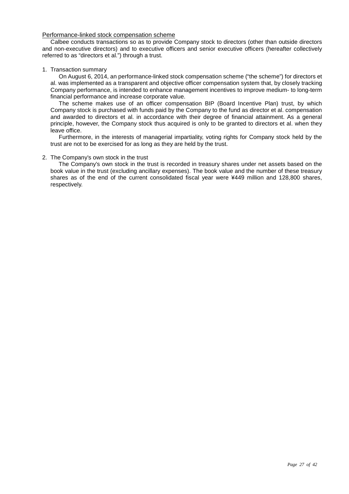#### Performance-linked stock compensation scheme

Calbee conducts transactions so as to provide Company stock to directors (other than outside directors and non-executive directors) and to executive officers and senior executive officers (hereafter collectively referred to as "directors et al.") through a trust.

#### 1. Transaction summary

On August 6, 2014, an performance-linked stock compensation scheme ("the scheme") for directors et al. was implemented as a transparent and objective officer compensation system that, by closely tracking Company performance, is intended to enhance management incentives to improve medium- to long-term financial performance and increase corporate value.

The scheme makes use of an officer compensation BIP (Board Incentive Plan) trust, by which Company stock is purchased with funds paid by the Company to the fund as director et al. compensation and awarded to directors et al. in accordance with their degree of financial attainment. As a general principle, however, the Company stock thus acquired is only to be granted to directors et al. when they leave office.

Furthermore, in the interests of managerial impartiality, voting rights for Company stock held by the trust are not to be exercised for as long as they are held by the trust.

#### 2. The Company's own stock in the trust

The Company's own stock in the trust is recorded in treasury shares under net assets based on the book value in the trust (excluding ancillary expenses). The book value and the number of these treasury shares as of the end of the current consolidated fiscal year were ¥449 million and 128,800 shares, respectively.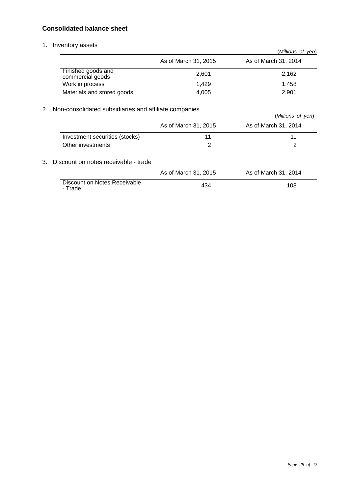#### **Consolidated balance sheet**

1. Inventory assets

| νσι κυι γ αδδσιδ                       |                      | (Millions of yen)    |
|----------------------------------------|----------------------|----------------------|
|                                        | As of March 31, 2015 | As of March 31, 2014 |
| Finished goods and<br>commercial goods | 2,601                | 2,162                |
| Work in process                        | 1.429                | 1.458                |
| Materials and stored goods             | 4,005                | 2,901                |

#### 2. Non-consolidated subsidiaries and affiliate companies

|                                |                      | (Millions of yen)    |
|--------------------------------|----------------------|----------------------|
|                                | As of March 31, 2015 | As of March 31, 2014 |
| Investment securities (stocks) |                      | 11                   |
| Other investments              |                      |                      |

#### 3. Discount on notes receivable - trade

|                                         | As of March 31, 2015 | As of March 31, 2014 |
|-----------------------------------------|----------------------|----------------------|
| Discount on Notes Receivable<br>- Trade | 434                  | 108                  |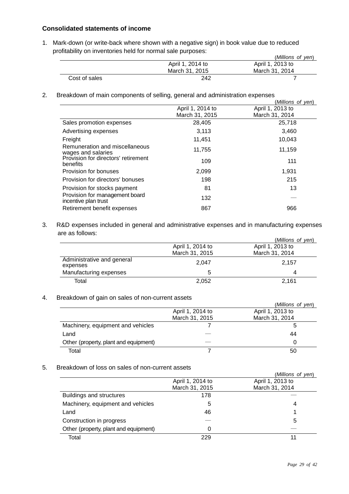#### **Consolidated statements of income**

1. Mark-down (or write-back where shown with a negative sign) in book value due to reduced profitability on inventories held for normal sale purposes:

|               |                  | (Millions of yen) |
|---------------|------------------|-------------------|
|               | April 1, 2014 to | April 1, 2013 to  |
|               | March 31, 2015   | March 31, 2014    |
| Cost of sales | 242              |                   |

2. Breakdown of main components of selling, general and administration expenses

|                                                        |                  | (Millions of yen) |
|--------------------------------------------------------|------------------|-------------------|
|                                                        | April 1, 2014 to | April 1, 2013 to  |
|                                                        | March 31, 2015   | March 31, 2014    |
| Sales promotion expenses                               | 28,405           | 25,718            |
| Advertising expenses                                   | 3,113            | 3,460             |
| Freight                                                | 11,451           | 10,043            |
| Remuneration and miscellaneous<br>wages and salaries   | 11,755           | 11,159            |
| Provision for directors' retirement<br>benefits        | 109              | 111               |
| Provision for bonuses                                  | 2,099            | 1,931             |
| Provision for directors' bonuses                       | 198              | 215               |
| Provision for stocks payment                           | 81               | 13                |
| Provision for management board<br>incentive plan trust | 132              |                   |
| Retirement benefit expenses                            | 867              | 966               |

### 3. R&D expenses included in general and administrative expenses and in manufacturing expenses are as follows:

|                                        |                  | (Millions of yen) |
|----------------------------------------|------------------|-------------------|
|                                        | April 1, 2014 to | April 1, 2013 to  |
|                                        | March 31, 2015   | March 31, 2014    |
| Administrative and general<br>expenses | 2.047            | 2.157             |
| Manufacturing expenses                 |                  | 4                 |
| Total                                  | 2,052            | 2.161             |

#### 4. Breakdown of gain on sales of non-current assets

|                                       |                  | (Millions of yen) |
|---------------------------------------|------------------|-------------------|
|                                       | April 1, 2014 to | April 1, 2013 to  |
|                                       | March 31, 2015   | March 31, 2014    |
| Machinery, equipment and vehicles     |                  | b                 |
| Land                                  |                  | 44                |
| Other (property, plant and equipment) |                  | O                 |
| Total                                 |                  | 50                |

#### 5. Breakdown of loss on sales of non-current assets

|                                       |                  | (Millions of yen) |
|---------------------------------------|------------------|-------------------|
|                                       | April 1, 2014 to | April 1, 2013 to  |
|                                       | March 31, 2015   | March 31, 2014    |
| Buildings and structures              | 178              |                   |
| Machinery, equipment and vehicles     | 5                | 4                 |
| Land                                  | 46               |                   |
| Construction in progress              |                  | 5                 |
| Other (property, plant and equipment) | 0                |                   |
| Total                                 | 229              |                   |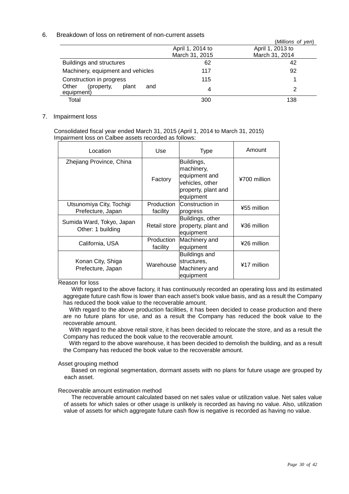6. Breakdown of loss on retirement of non-current assets

|                                                   |                  | (Millions of yen) |
|---------------------------------------------------|------------------|-------------------|
|                                                   | April 1, 2014 to | April 1, 2013 to  |
|                                                   | March 31, 2015   | March 31, 2014    |
| Buildings and structures                          | 62               | 42                |
| Machinery, equipment and vehicles                 | 117              | 92                |
| Construction in progress                          | 115              |                   |
| Other<br>(property,<br>plant<br>and<br>equipment) |                  |                   |
| Total                                             | 300              | 138               |

#### 7. Impairment loss

Consolidated fiscal year ended March 31, 2015 (April 1, 2014 to March 31, 2015) Impairment loss on Calbee assets recorded as follows:

| Location                                       | Use                                                                   | <b>Type</b>                                                                                       | Amount       |
|------------------------------------------------|-----------------------------------------------------------------------|---------------------------------------------------------------------------------------------------|--------------|
| Zhejiang Province, China                       | Factory                                                               | Buildings,<br>machinery,<br>equipment and<br>vehicles, other<br>property, plant and<br>lequipment | ¥700 million |
| Utsunomiya City, Tochigi<br>Prefecture, Japan  | Production<br>facility                                                | Construction in<br>progress                                                                       | ¥55 million  |
| Sumida Ward, Tokyo, Japan<br>Other: 1 building | Buildings, other<br>property, plant and<br>Retail store<br>lequipment |                                                                                                   | ¥36 million  |
| California, USA                                | Production<br>facility                                                | Machinery and<br>equipment                                                                        | ¥26 million  |
| Konan City, Shiga<br>Prefecture, Japan         | Warehouse                                                             | Buildings and<br>structures,<br>Machinery and<br>lequipment                                       | ¥17 million  |

Reason for loss

With regard to the above factory, it has continuously recorded an operating loss and its estimated aggregate future cash flow is lower than each asset's book value basis, and as a result the Company has reduced the book value to the recoverable amount.

With regard to the above production facilities, it has been decided to cease production and there are no future plans for use, and as a result the Company has reduced the book value to the recoverable amount.

With regard to the above retail store, it has been decided to relocate the store, and as a result the Company has reduced the book value to the recoverable amount.

With regard to the above warehouse, it has been decided to demolish the building, and as a result the Company has reduced the book value to the recoverable amount.

#### Asset grouping method

Based on regional segmentation, dormant assets with no plans for future usage are grouped by each asset.

#### Recoverable amount estimation method

The recoverable amount calculated based on net sales value or utilization value. Net sales value of assets for which sales or other usage is unlikely is recorded as having no value. Also, utilization value of assets for which aggregate future cash flow is negative is recorded as having no value.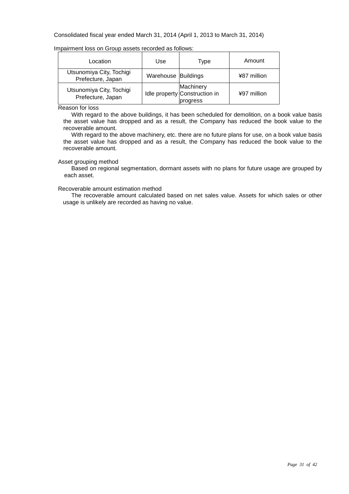| Location                                      | Use                 | Type                                                   | Amount      |
|-----------------------------------------------|---------------------|--------------------------------------------------------|-------------|
| Utsunomiya City, Tochigi<br>Prefecture, Japan | Warehouse Buildings |                                                        | ¥87 million |
| Utsunomiya City, Tochigi<br>Prefecture, Japan |                     | Machinery<br>Idle property Construction in<br>progress | ¥97 million |

#### Impairment loss on Group assets recorded as follows:

#### Reason for loss

With regard to the above buildings, it has been scheduled for demolition, on a book value basis the asset value has dropped and as a result, the Company has reduced the book value to the recoverable amount.

With regard to the above machinery, etc. there are no future plans for use, on a book value basis the asset value has dropped and as a result, the Company has reduced the book value to the recoverable amount.

#### Asset grouping method

Based on regional segmentation, dormant assets with no plans for future usage are grouped by each asset.

#### Recoverable amount estimation method

The recoverable amount calculated based on net sales value. Assets for which sales or other usage is unlikely are recorded as having no value.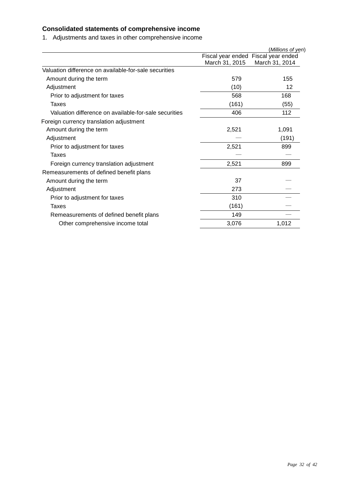## **Consolidated statements of comprehensive income**

1. Adjustments and taxes in other comprehensive income

|                                                       |                | (Millions of yen)                   |
|-------------------------------------------------------|----------------|-------------------------------------|
|                                                       |                | Fiscal year ended Fiscal year ended |
|                                                       | March 31, 2015 | March 31, 2014                      |
| Valuation difference on available-for-sale securities |                |                                     |
| Amount during the term                                | 579            | 155                                 |
| Adjustment                                            | (10)           | 12                                  |
| Prior to adjustment for taxes                         | 568            | 168                                 |
| Taxes                                                 | (161)          | (55)                                |
| Valuation difference on available-for-sale securities | 406            | 112                                 |
| Foreign currency translation adjustment               |                |                                     |
| Amount during the term                                | 2,521          | 1,091                               |
| Adjustment                                            |                | (191)                               |
| Prior to adjustment for taxes                         | 2,521          | 899                                 |
| Taxes                                                 |                |                                     |
| Foreign currency translation adjustment               | 2,521          | 899                                 |
| Remeasurements of defined benefit plans               |                |                                     |
| Amount during the term                                | 37             |                                     |
| Adjustment                                            | 273            |                                     |
| Prior to adjustment for taxes                         | 310            |                                     |
| Taxes                                                 | (161)          |                                     |
| Remeasurements of defined benefit plans               | 149            |                                     |
| Other comprehensive income total                      | 3,076          | 1,012                               |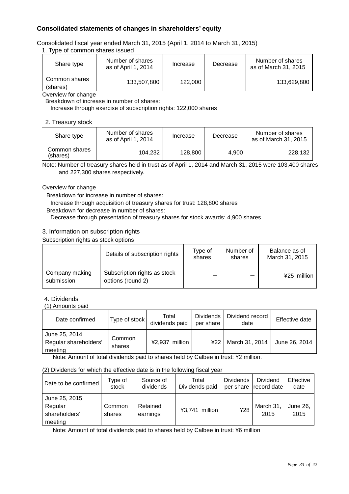## **Consolidated statements of changes in shareholders' equity**

#### Consolidated fiscal year ended March 31, 2015 (April 1, 2014 to March 31, 2015) 1. Type of common shares issued

| Share type                | Number of shares<br>as of April 1, 2014 | Increase | Decrease | Number of shares<br>as of March 31, 2015 |  |  |
|---------------------------|-----------------------------------------|----------|----------|------------------------------------------|--|--|
| Common shares<br>(shares) | 133,507,800                             | 122,000  |          | 133,629,800                              |  |  |

Overview for change

Breakdown of increase in number of shares:

Increase through exercise of subscription rights: 122,000 shares

#### 2. Treasury stock

| Share type                | Number of shares<br>as of April 1, 2014 | Increase | Decrease | Number of shares<br>as of March 31, 2015 |
|---------------------------|-----------------------------------------|----------|----------|------------------------------------------|
| Common shares<br>(shares) | 104.232                                 | 128,800  | 4.900    | 228,132                                  |

Note: Number of treasury shares held in trust as of April 1, 2014 and March 31, 2015 were 103,400 shares and 227,300 shares respectively.

#### Overview for change

Breakdown for increase in number of shares:

Increase through acquisition of treasury shares for trust: 128,800 shares

Breakdown for decrease in number of shares:

Decrease through presentation of treasury shares for stock awards: 4,900 shares

#### 3. Information on subscription rights

#### Subscription rights as stock options

|                              | Details of subscription rights                    | Type of<br>shares | Number of<br>shares | Balance as of<br>March 31, 2015 |
|------------------------------|---------------------------------------------------|-------------------|---------------------|---------------------------------|
| Company making<br>submission | Subscription rights as stock<br>options (round 2) |                   |                     | ¥25 million                     |

#### 4. Dividends

(1) Amounts paid

| Date confirmed                                    | Type of stock    | Total<br>dividends paid | Dividends<br>per share | Dividend record<br>date | Effective date |
|---------------------------------------------------|------------------|-------------------------|------------------------|-------------------------|----------------|
| June 25, 2014<br>Regular shareholders'<br>meeting | Common<br>shares | ¥2,937 million          | 422 <sub>1</sub>       | March 31, 2014          | June 26, 2014  |

Note: Amount of total dividends paid to shares held by Calbee in trust: ¥2 million.

#### (2) Dividends for which the effective date is in the following fiscal year

| Date to be confirmed                                 | Tvpe of<br>stock | Source of<br>dividends | Total<br>Dividends paid | <b>Dividends</b> | <b>Dividend</b><br>per share record date | Effective<br>date |
|------------------------------------------------------|------------------|------------------------|-------------------------|------------------|------------------------------------------|-------------------|
| June 25, 2015<br>Regular<br>shareholders'<br>meeting | Common<br>shares | Retained<br>earnings   | ¥3,741 million          | ¥28              | March 31,<br>2015                        | June 26,<br>2015  |

Note: Amount of total dividends paid to shares held by Calbee in trust: ¥6 million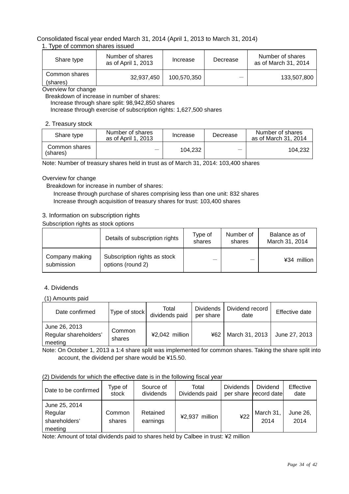## Consolidated fiscal year ended March 31, 2014 (April 1, 2013 to March 31, 2014)

#### 1. Type of common shares issued

| Share type                | Number of shares<br>as of April 1, 2013 | Increase    | Decrease | Number of shares<br>as of March 31, 2014 |
|---------------------------|-----------------------------------------|-------------|----------|------------------------------------------|
| Common shares<br>(shares) | 32.937.450                              | 100.570.350 |          | 133,507,800                              |

Overview for change

Breakdown of increase in number of shares:

Increase through share split: 98,942,850 shares

Increase through exercise of subscription rights: 1,627,500 shares

#### 2. Treasury stock

| Share type                | Number of shares<br>as of April 1, 2013 | Increase | Decrease | Number of shares<br>as of March 31, 2014 |
|---------------------------|-----------------------------------------|----------|----------|------------------------------------------|
| Common shares<br>(shares) |                                         | 104.232  |          | 104.232                                  |

Note: Number of treasury shares held in trust as of March 31, 2014: 103,400 shares

#### Overview for change

Breakdown for increase in number of shares:

 Increase through purchase of shares comprising less than one unit: 832 shares Increase through acquisition of treasury shares for trust: 103,400 shares

## 3. Information on subscription rights

#### Subscription rights as stock options

|                              | Details of subscription rights                    | Type of<br>shares | Number of<br>shares | Balance as of<br>March 31, 2014 |
|------------------------------|---------------------------------------------------|-------------------|---------------------|---------------------------------|
| Company making<br>submission | Subscription rights as stock<br>options (round 2) |                   |                     | ¥34 million                     |

#### 4. Dividends

(1) Amounts paid

| Date confirmed                                    | Type of stock    | Total<br>dividends paid | <b>Dividends</b><br>per share | Dividend record<br>date | Effective date |
|---------------------------------------------------|------------------|-------------------------|-------------------------------|-------------------------|----------------|
| June 26, 2013<br>Regular shareholders'<br>meeting | Common<br>shares | ¥2,042 million          | ¥62                           | March 31, 2013          | June 27, 2013  |

Note: On October 1, 2013 a 1:4 share split was implemented for common shares. Taking the share split into account, the dividend per share would be ¥15.50.

#### (2) Dividends for which the effective date is in the following fiscal year

| Date to be confirmed                                 | Type of<br>stock | Source of<br>dividends | Total<br>Dividends paid | <b>Dividends</b> | <b>Dividend</b><br>per share record date | Effective<br>date |
|------------------------------------------------------|------------------|------------------------|-------------------------|------------------|------------------------------------------|-------------------|
| June 25, 2014<br>Regular<br>shareholders'<br>meeting | Common<br>shares | Retained<br>earnings   | ¥2,937 million          | 422              | March 31,<br>2014                        | June 26,<br>2014  |

Note: Amount of total dividends paid to shares held by Calbee in trust: ¥2 million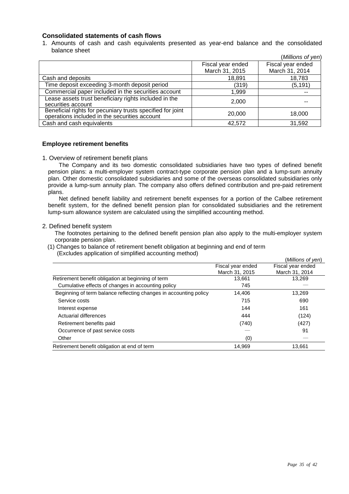#### **Consolidated statements of cash flows**

1. Amounts of cash and cash equivalents presented as year-end balance and the consolidated balance sheet  $(Milling \circ f(a))$ 

|                                                                                                             |                   | (Millions of yen) |
|-------------------------------------------------------------------------------------------------------------|-------------------|-------------------|
|                                                                                                             | Fiscal year ended | Fiscal year ended |
|                                                                                                             | March 31, 2015    | March 31, 2014    |
| Cash and deposits                                                                                           | 18,891            | 18,783            |
| Time deposit exceeding 3-month deposit period                                                               | (319)             | (5, 191)          |
| Commercial paper included in the securities account                                                         | 1.999             |                   |
| Lease assets trust beneficiary rights included in the<br>securities account                                 | 2.000             |                   |
| Beneficial rights for pecuniary trusts specified for joint<br>operations included in the securities account | 20,000            | 18,000            |
| Cash and cash equivalents                                                                                   | 42,572            | 31,592            |

#### **Employee retirement benefits**

1. Overview of retirement benefit plans

The Company and its two domestic consolidated subsidiaries have two types of defined benefit pension plans: a multi-employer system contract-type corporate pension plan and a lump-sum annuity plan. Other domestic consolidated subsidiaries and some of the overseas consolidated subsidiaries only provide a lump-sum annuity plan. The company also offers defined contribution and pre-paid retirement plans.

Net defined benefit liability and retirement benefit expenses for a portion of the Calbee retirement benefit system, for the defined benefit pension plan for consolidated subsidiaries and the retirement lump-sum allowance system are calculated using the simplified accounting method.

#### 2. Defined benefit system

The footnotes pertaining to the defined benefit pension plan also apply to the multi-employer system corporate pension plan.

(1) Changes to balance of retirement benefit obligation at beginning and end of term (Excludes application of simplified accounting method)

|                   | ( <i>IVIIIIIONS OF Veri</i> ) |
|-------------------|-------------------------------|
| Fiscal year ended | Fiscal year ended             |
|                   | March 31, 2014                |
| 13.661            | 13,269                        |
| 745               |                               |
| 14.406            | 13,269                        |
| 715               | 690                           |
| 144               | 161                           |
| 444               | (124)                         |
| (740)             | (427)                         |
|                   | 91                            |
| (0)               |                               |
| 14,969            | 13,661                        |
|                   | March 31, 2015                |

 $\ell$  and  $\ell$  yens of  $\ell$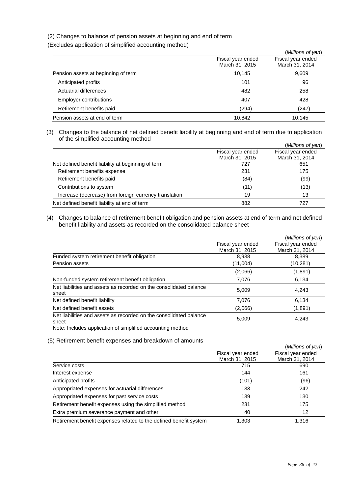#### (2) Changes to balance of pension assets at beginning and end of term

(Excludes application of simplified accounting method)

|                                     |                   | (Millions of yen) |
|-------------------------------------|-------------------|-------------------|
|                                     | Fiscal year ended | Fiscal year ended |
|                                     | March 31, 2015    | March 31, 2014    |
| Pension assets at beginning of term | 10,145            | 9,609             |
| Anticipated profits                 | 101               | 96                |
| Actuarial differences               | 482               | 258               |
| <b>Employer contributions</b>       | 407               | 428               |
| Retirement benefits paid            | (294)             | (247)             |
| Pension assets at end of term       | 10,842            | 10,145            |

(3) Changes to the balance of net defined benefit liability at beginning and end of term due to application of the simplified accounting method

|                                                       |                   | (Millions of yen) |
|-------------------------------------------------------|-------------------|-------------------|
|                                                       | Fiscal year ended | Fiscal year ended |
|                                                       | March 31, 2015    | March 31, 2014    |
| Net defined benefit liability at beginning of term    | 727               | 651               |
| Retirement benefits expense                           | 231               | 175               |
| Retirement benefits paid                              | (84)              | (99)              |
| Contributions to system                               | (11)              | (13)              |
| Increase (decrease) from foreign currency translation | 19                | 13                |
| Net defined benefit liability at end of term          | 882               | 727               |

#### (4) Changes to balance of retirement benefit obligation and pension assets at end of term and net defined benefit liability and assets as recorded on the consolidated balance sheet

|                                                                             |                                     | (Millions of yen)                   |
|-----------------------------------------------------------------------------|-------------------------------------|-------------------------------------|
|                                                                             | Fiscal year ended<br>March 31, 2015 | Fiscal year ended<br>March 31, 2014 |
| Funded system retirement benefit obligation                                 | 8,938                               | 8,389                               |
| Pension assets                                                              | (11,004)                            | (10, 281)                           |
|                                                                             | (2,066)                             | (1,891)                             |
| Non-funded system retirement benefit obligation                             | 7,076                               | 6,134                               |
| Net liabilities and assets as recorded on the consolidated balance<br>sheet | 5.009                               | 4.243                               |
| Net defined benefit liability                                               | 7,076                               | 6,134                               |
| Net defined benefit assets                                                  | (2,066)                             | (1,891)                             |
| Net liabilities and assets as recorded on the consolidated balance<br>sheet | 5,009                               | 4.243                               |
| Note: Includes application of simplified accounting method                  |                                     |                                     |

#### (5) Retirement benefit expenses and breakdown of amounts

|                                                                   |                                     | (Millions of yen)                   |
|-------------------------------------------------------------------|-------------------------------------|-------------------------------------|
|                                                                   | Fiscal year ended<br>March 31, 2015 | Fiscal year ended<br>March 31, 2014 |
| Service costs                                                     | 715                                 | 690                                 |
| Interest expense                                                  | 144                                 | 161                                 |
| Anticipated profits                                               | (101)                               | (96)                                |
| Appropriated expenses for actuarial differences                   | 133                                 | 242                                 |
| Appropriated expenses for past service costs                      | 139                                 | 130                                 |
| Retirement benefit expenses using the simplified method           | 231                                 | 175                                 |
| Extra premium severance payment and other                         | 40                                  | 12                                  |
| Retirement benefit expenses related to the defined benefit system | 1,303                               | 1,316                               |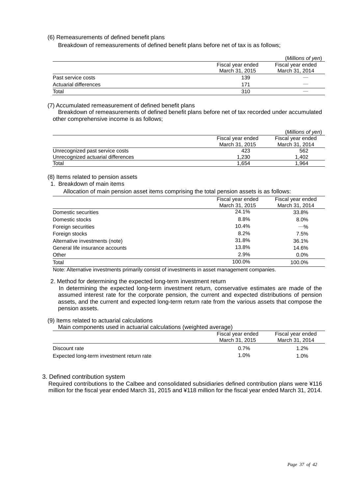#### (6) Remeasurements of defined benefit plans

Breakdown of remeasurements of defined benefit plans before net of tax is as follows;

|                       |                   | (Millions of yen) |
|-----------------------|-------------------|-------------------|
|                       | Fiscal year ended | Fiscal year ended |
|                       | March 31, 2015    | March 31, 2014    |
| Past service costs    | 139               | __                |
| Actuarial differences | 171               |                   |
| Total                 | 310               |                   |

#### (7) Accumulated remeasurement of defined benefit plans

Breakdown of remeasurements of defined benefit plans before net of tax recorded under accumulated other comprehensive income is as follows;

|                                    |                   | (Millions of yen) |
|------------------------------------|-------------------|-------------------|
|                                    | Fiscal year ended | Fiscal year ended |
|                                    | March 31, 2015    | March 31, 2014    |
| Unrecognized past service costs    | 423               | 562               |
| Unrecognized actuarial differences | 1.230             | 1.402             |
| Total                              | 1.654             | 1.964             |

#### (8) Items related to pension assets

#### 1. Breakdown of main items

Allocation of main pension asset items comprising the total pension assets is as follows:

|                                 | Fiscal year ended | Fiscal year ended |
|---------------------------------|-------------------|-------------------|
|                                 | March 31, 2015    | March 31, 2014    |
| Domestic securities             | 24.1%             | 33.8%             |
| Domestic stocks                 | 8.8%              | $8.0\%$           |
| Foreign securities              | 10.4%             | $-\%$             |
| Foreign stocks                  | 8.2%              | 7.5%              |
| Alternative investments (note)  | 31.8%             | 36.1%             |
| General life insurance accounts | 13.8%             | 14.6%             |
| Other                           | 2.9%              | $0.0\%$           |
| Total                           | 100.0%            | 100.0%            |

Note: Alternative investments primarily consist of investments in asset management companies.

#### 2. Method for determining the expected long-term investment return

In determining the expected long-term investment return, conservative estimates are made of the assumed interest rate for the corporate pension, the current and expected distributions of pension assets, and the current and expected long-term return rate from the various assets that compose the pension assets.

(9) Items related to actuarial calculations

Main components used in actuarial calculations (weighted average)

|                                           | Fiscal year ended | Fiscal year ended |
|-------------------------------------------|-------------------|-------------------|
|                                           | March 31, 2015    | March 31, 2014    |
| Discount rate                             | $0.7\%$           | $1.2\%$           |
| Expected long-term investment return rate | 1.0%              | $1.0\%$           |

#### 3. Defined contribution system

Required contributions to the Calbee and consolidated subsidiaries defined contribution plans were ¥116 million for the fiscal year ended March 31, 2015 and ¥118 million for the fiscal year ended March 31, 2014.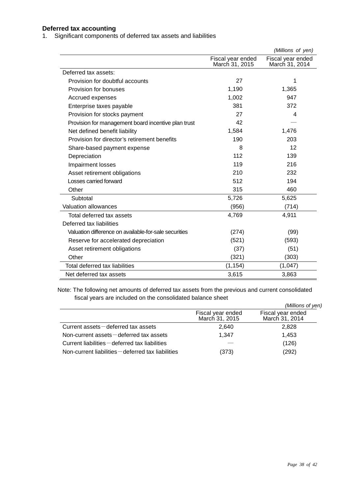#### **Deferred tax accounting**

1. Significant components of deferred tax assets and liabilities

|                                                       |                                     | (Millions of yen)                   |
|-------------------------------------------------------|-------------------------------------|-------------------------------------|
|                                                       | Fiscal year ended<br>March 31, 2015 | Fiscal year ended<br>March 31, 2014 |
| Deferred tax assets:                                  |                                     |                                     |
| Provision for doubtful accounts                       | 27                                  | 1                                   |
| Provision for bonuses                                 | 1,190                               | 1,365                               |
| Accrued expenses                                      | 1,002                               | 947                                 |
| Enterprise taxes payable                              | 381                                 | 372                                 |
| Provision for stocks payment                          | 27                                  | $\overline{\mathcal{A}}$            |
| Provision for management board incentive plan trust   | 42                                  |                                     |
| Net defined benefit liability                         | 1,584                               | 1,476                               |
| Provision for director's retirement benefits          | 190                                 | 203                                 |
| Share-based payment expense                           | 8                                   | 12                                  |
| Depreciation                                          | 112                                 | 139                                 |
| Impairment losses                                     | 119                                 | 216                                 |
| Asset retirement obligations                          | 210                                 | 232                                 |
| Losses carried forward                                | 512                                 | 194                                 |
| Other                                                 | 315                                 | 460                                 |
| Subtotal                                              | 5,726                               | 5,625                               |
| Valuation allowances                                  | (956)                               | (714)                               |
| Total deferred tax assets                             | 4,769                               | 4,911                               |
| Deferred tax liabilities                              |                                     |                                     |
| Valuation difference on available-for-sale securities | (274)                               | (99)                                |
| Reserve for accelerated depreciation                  | (521)                               | (593)                               |
| Asset retirement obligations                          | (37)                                | (51)                                |
| Other                                                 | (321)                               | (303)                               |
| Total deferred tax liabilities                        | (1, 154)                            | (1,047)                             |
| Net deferred tax assets                               | 3,615                               | 3,863                               |

Note: The following net amounts of deferred tax assets from the previous and current consolidated fiscal years are included on the consolidated balance sheet

|                                                        |                                     | (Millions of yen)                   |
|--------------------------------------------------------|-------------------------------------|-------------------------------------|
|                                                        | Fiscal year ended<br>March 31, 2015 | Fiscal year ended<br>March 31, 2014 |
| Current assets $-\theta$ deferred tax assets           | 2.640                               | 2,828                               |
| Non-current assets-deferred tax assets                 | 1.347                               | 1.453                               |
| Current liabilities $-\theta$ deferred tax liabilities |                                     | (126)                               |
| Non-current liabilities – deferred tax liabilities     | (373)                               | (292)                               |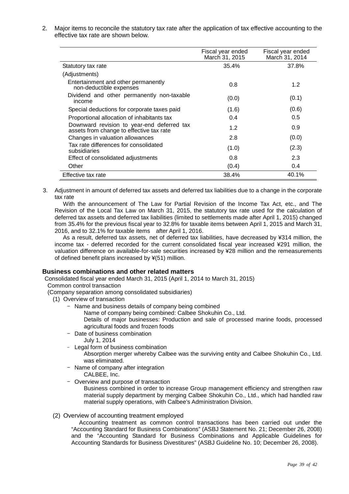2. Major items to reconcile the statutory tax rate after the application of tax effective accounting to the effective tax rate are shown below.

|                                                                                        | Fiscal year ended<br>March 31, 2015 | Fiscal year ended<br>March 31, 2014 |
|----------------------------------------------------------------------------------------|-------------------------------------|-------------------------------------|
| Statutory tax rate                                                                     | 35.4%                               | 37.8%                               |
| (Adjustments)                                                                          |                                     |                                     |
| Entertainment and other permanently<br>non-deductible expenses                         | 0.8                                 | $1.2^{\circ}$                       |
| Dividend and other permanently non-taxable<br>income                                   | (0.0)                               | (0.1)                               |
| Special deductions for corporate taxes paid                                            | (1.6)                               | (0.6)                               |
| Proportional allocation of inhabitants tax                                             | 0.4                                 | 0.5                                 |
| Downward revision to year-end deferred tax<br>assets from change to effective tax rate | 1.2                                 | 0.9                                 |
| Changes in valuation allowances                                                        | 2.8                                 | (0.0)                               |
| Tax rate differences for consolidated<br>subsidiaries                                  | (1.0)                               | (2.3)                               |
| Effect of consolidated adjustments                                                     | 0.8                                 | 2.3                                 |
| Other                                                                                  | (0.4)                               | 0.4                                 |
| Effective tax rate                                                                     | 38.4%                               | 40.1%                               |

3. Adjustment in amount of deferred tax assets and deferred tax liabilities due to a change in the corporate tax rate

With the announcement of The Law for Partial Revision of the Income Tax Act, etc., and The Revision of the Local Tax Law on March 31, 2015, the statutory tax rate used for the calculation of deferred tax assets and deferred tax liabilities (limited to settlements made after April 1, 2015) changed from 35.4% for the previous fiscal year to 32.8% for taxable items between April 1, 2015 and March 31, 2016, and to 32.1% for taxable items after April 1, 2016.

As a result, deferred tax assets, net of deferred tax liabilities, have decreased by ¥314 million, the income tax - deferred recorded for the current consolidated fiscal year increased ¥291 million, the valuation difference on available-for-sale securities increased by ¥28 million and the remeasurements of defined benefit plans increased by ¥(51) million.

#### **Business combinations and other related matters**

Consolidated fiscal year ended March 31, 2015 (April 1, 2014 to March 31, 2015) Common control transaction

(Company separation among consolidated subsidiaries)

- (1) Overview of transaction
	- Name and business details of company being combined

Name of company being combined: Calbee Shokuhin Co., Ltd.

Details of major businesses: Production and sale of processed marine foods, processed agricultural foods and frozen foods

- Date of business combination July 1, 2014
- Legal form of business combination
	- Absorption merger whereby Calbee was the surviving entity and Calbee Shokuhin Co., Ltd. was eliminated.
- Name of company after integration CALBEE, Inc.
- Overview and purpose of transaction

Business combined in order to increase Group management efficiency and strengthen raw material supply department by merging Calbee Shokuhin Co., Ltd., which had handled raw material supply operations, with Calbee's Administration Division.

(2) Overview of accounting treatment employed

Accounting treatment as common control transactions has been carried out under the "Accounting Standard for Business Combinations" (ASBJ Statement No. 21; December 26, 2008) and the "Accounting Standard for Business Combinations and Applicable Guidelines for Accounting Standards for Business Divestitures" (ASBJ Guideline No. 10; December 26, 2008).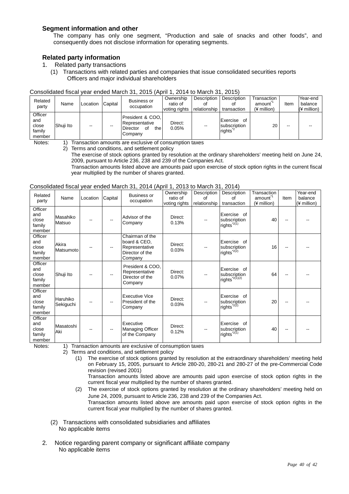#### **Segment information and other**

 The company has only one segment, "Production and sale of snacks and other foods", and consequently does not disclose information for operating segments.

#### **Related party information**

- 1. Related party transactions
	- (1) Transactions with related parties and companies that issue consolidated securities reports Officers and major individual shareholders

| Related<br>party                            | Name      | Location | Capital                  | <b>Business or</b><br>occupation                                       | Ownership<br>ratio of<br>voting rights | Description<br>relationship | Description<br>transaction                          | Transaction<br>amount<br>$(4$ million) | Item  | Year-end<br>balance<br>(¥ million) |
|---------------------------------------------|-----------|----------|--------------------------|------------------------------------------------------------------------|----------------------------------------|-----------------------------|-----------------------------------------------------|----------------------------------------|-------|------------------------------------|
| Officer<br>and<br>close<br>family<br>member | Shuii Ito | $- -$    | $\overline{\phantom{m}}$ | President & COO.<br>Representative<br>the<br>Director<br>οf<br>Company | Direct:<br>0.05%                       | $- -$                       | Exercise of<br>subscription<br>rights <sup>*2</sup> | 20                                     | $- -$ | --                                 |

#### Consolidated fiscal year ended March 31, 2015 (April 1, 2014 to March 31, 2015)

Notes: 1) Transaction amounts are exclusive of consumption taxes

2) Terms and conditions, and settlement policy

The exercise of stock options granted by resolution at the ordinary shareholders' meeting held on June 24, 2009, pursuant to Article 236, 238 and 239 of the Companies Act.

Transaction amounts listed above are amounts paid upon exercise of stock option rights in the current fiscal year multiplied by the number of shares granted.

#### Consolidated fiscal year ended March 31, 2014 (April 1, 2013 to March 31, 2014)

|                                             |                       |          |         | <u>00110011000010001</u> your chaca march 01, 2014 (hpm 1, 2010 to march 01, 2014) |                                        |                                   |                                                           |                                                    |      |                                    |
|---------------------------------------------|-----------------------|----------|---------|------------------------------------------------------------------------------------|----------------------------------------|-----------------------------------|-----------------------------------------------------------|----------------------------------------------------|------|------------------------------------|
| Related<br>party                            | Name                  | Location | Capital | <b>Business or</b><br>occupation                                                   | Ownership<br>ratio of<br>voting rights | Description<br>Ωf<br>relationship | Description<br>οf<br>transaction                          | Transaction<br>amount <sup>*1</sup><br>(¥ million) | Item | Year-end<br>balance<br>(¥ million) |
| Officer<br>and<br>close<br>family<br>member | Masahiko<br>Matsuo    |          |         | Advisor of the<br>Company                                                          | Direct:<br>0.13%                       |                                   | Exercise of<br>subscription<br>rights <sup>*2(1)</sup>    | 40                                                 |      |                                    |
| Officer<br>and<br>close<br>family<br>member | Akira<br>Matsumoto    |          | --      | Chairman of the<br>board & CEO.<br>Representative<br>Director of the<br>Company    | Direct:<br>0.03%                       |                                   | Exercise of<br>subscription<br>rights <sup>*2(2)</sup>    | 16                                                 |      |                                    |
| Officer<br>and<br>close<br>family<br>member | Shuji Ito             |          |         | President & COO.<br>Representative<br>Director of the<br>Company                   | Direct:<br>0.07%                       |                                   | Exercise of<br>subscription<br>rights <sup>*2(1)(2)</sup> | 64                                                 |      |                                    |
| Officer<br>and<br>close<br>family<br>member | Haruhiko<br>Sekiguchi |          | --      | <b>Executive Vice</b><br>President of the<br>Company                               | Direct:<br>0.03%                       |                                   | Exercise of<br>subscription<br>rights <sup>*2(2)</sup>    | 20                                                 |      |                                    |
| Officer<br>and<br>close<br>family<br>member | Masatoshi<br>Aki      |          | --      | Executive<br><b>Managing Officer</b><br>of the Company                             | Direct:<br>0.12%                       |                                   | Exercise of<br>subscription<br>rights <sup>*2(1)</sup>    | 40                                                 |      |                                    |

Notes: 1) Transaction amounts are exclusive of consumption taxes

2) Terms and conditions, and settlement policy

(1) The exercise of stock options granted by resolution at the extraordinary shareholders' meeting held on February 15, 2005, pursuant to Article 280-20, 280-21 and 280-27 of the pre-Commercial Code revision (revised 2001)

Transaction amounts listed above are amounts paid upon exercise of stock option rights in the current fiscal year multiplied by the number of shares granted.

- (2) The exercise of stock options granted by resolution at the ordinary shareholders' meeting held on June 24, 2009, pursuant to Article 236, 238 and 239 of the Companies Act. Transaction amounts listed above are amounts paid upon exercise of stock option rights in the current fiscal year multiplied by the number of shares granted.
- (2) Transactions with consolidated subsidiaries and affiliates No applicable items
- 2. Notice regarding parent company or significant affiliate company No applicable items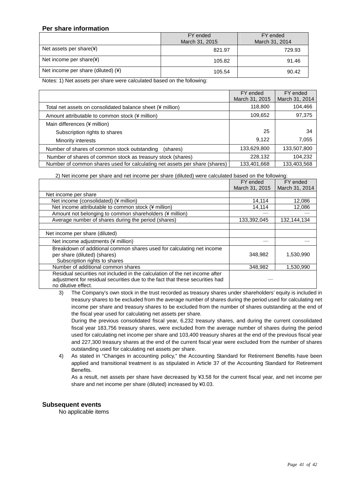#### **Per share information**

|                                      | FY ended       | FY ended       |
|--------------------------------------|----------------|----------------|
|                                      | March 31, 2015 | March 31, 2014 |
| Net assets per share(¥)              | 821.97         | 729.93         |
| Net income per share $(*)$           | 105.82         | 91.46          |
| Net income per share (diluted) $(*)$ | 105.54         | 90.42          |
| $\cdots$ $\cdots$<br>.               | .              |                |

Notes: 1) Net assets per share were calculated based on the following:

|                                                                            | FY ended<br>March 31, 2015 | FY ended<br>March 31, 2014 |
|----------------------------------------------------------------------------|----------------------------|----------------------------|
| Total net assets on consolidated balance sheet (¥ million)                 | 118,800                    | 104,466                    |
| Amount attributable to common stock (¥ million)                            | 109,652                    | 97,375                     |
| Main differences (¥ million)                                               |                            |                            |
| Subscription rights to shares                                              | 25                         | 34                         |
| Minority interests                                                         | 9,122                      | 7,055                      |
| Number of shares of common stock outstanding<br>(shares)                   | 133,629,800                | 133,507,800                |
| Number of shares of common stock as treasury stock (shares)                | 228,132                    | 104,232                    |
| Number of common shares used for calculating net assets per share (shares) | 133,401,668                | 133,403,568                |

2) Net income per share and net income per share (diluted) were calculated based on the following:

|                                                                                                                                                                                    | FY ended       | FY ended       |
|------------------------------------------------------------------------------------------------------------------------------------------------------------------------------------|----------------|----------------|
|                                                                                                                                                                                    | March 31, 2015 | March 31, 2014 |
| Net income per share                                                                                                                                                               |                |                |
| Net income (consolidated) (¥ million)                                                                                                                                              | 14,114         | 12,086         |
| Net income attributable to common stock (¥ million)                                                                                                                                | 14,114         | 12,086         |
| Amount not belonging to common shareholders (¥ million)                                                                                                                            |                |                |
| Average number of shares during the period (shares)                                                                                                                                | 133,392,045    | 132,144,134    |
|                                                                                                                                                                                    |                |                |
| Net income per share (diluted)                                                                                                                                                     |                |                |
| Net income adjustments (¥ million)                                                                                                                                                 |                |                |
| Breakdown of additional common shares used for calculating net income<br>per share (diluted) (shares)                                                                              | 348,982        | 1,530,990      |
| Subscription rights to shares                                                                                                                                                      |                |                |
| Number of additional common shares                                                                                                                                                 | 348,982        | 1,530,990      |
| Residual securities not included in the calculation of the net income after<br>adjustment for residual securities due to the fact that these securities had<br>no dilutive effect. |                |                |

3) The Company's own stock in the trust recorded as treasury shares under shareholders' equity is included in treasury shares to be excluded from the average number of shares during the period used for calculating net income per share and treasury shares to be excluded from the number of shares outstanding at the end of the fiscal year used for calculating net assets per share.

During the previous consolidated fiscal year, 6,232 treasury shares, and during the current consolidated fiscal year 183,756 treasury shares, were excluded from the average number of shares during the period used for calculating net income per share and 103,400 treasury shares at the end of the previous fiscal year and 227,300 treasury shares at the end of the current fiscal year were excluded from the number of shares outstanding used for calculating net assets per share.

4) As stated in "Changes in accounting policy," the Accounting Standard for Retirement Benefits have been applied and transitional treatment is as stipulated in Article 37 of the Accounting Standard for Retirement Benefits.

As a result, net assets per share have decreased by ¥3.58 for the current fiscal year, and net income per share and net income per share (diluted) increased by ¥0.03.

#### **Subsequent events**

No applicable items